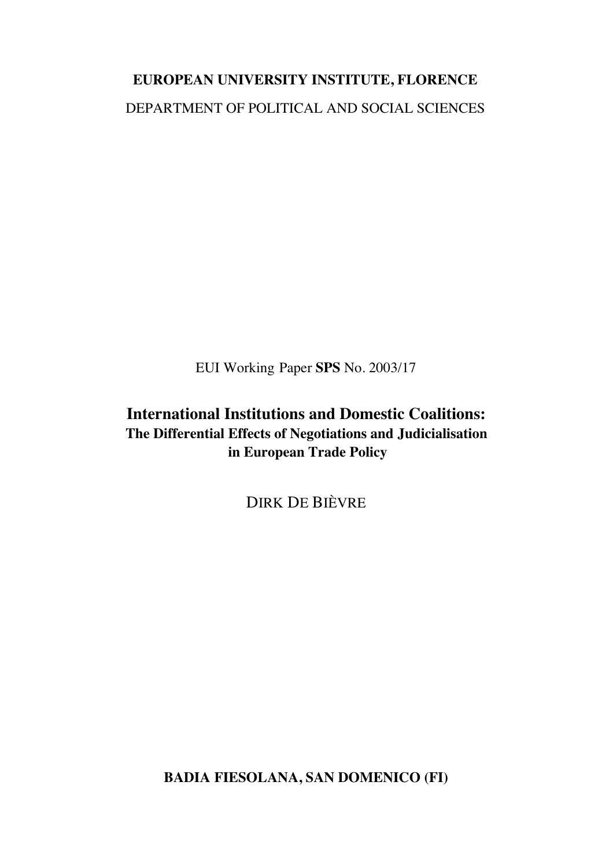# **EUROPEAN UNIVERSITY INSTITUTE, FLORENCE** DEPARTMENT OF POLITICAL AND SOCIAL SCIENCES

EUI Working Paper **SPS** No. 2003/17

# **International Institutions and Domestic Coalitions: The Differential Effects of Negotiations and Judicialisation in European Trade Policy**

DIRK DE BIÈVRE

**BADIA FIESOLANA, SAN DOMENICO (FI)**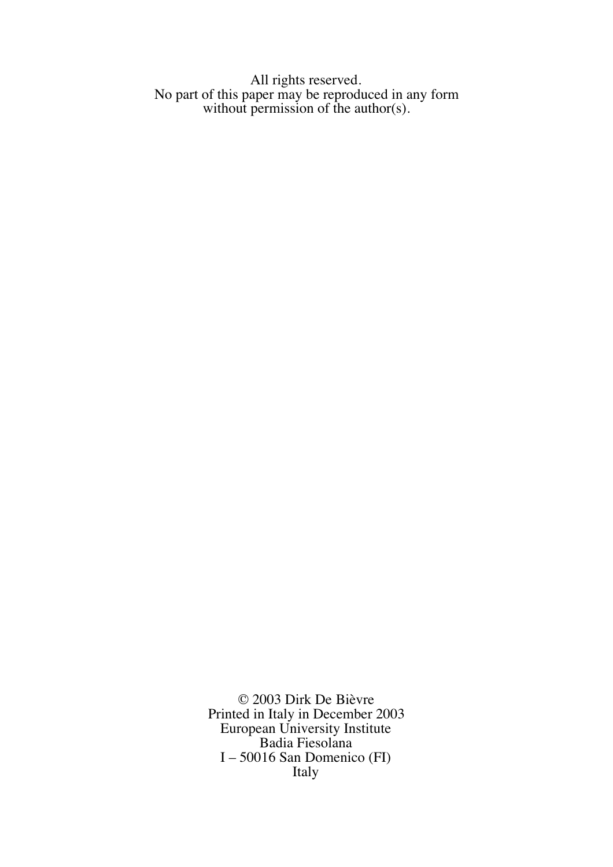All rights reserved. No part of this paper may be reproduced in any form without permission of the author(s).

> © 2003 Dirk De Bièvre Printed in Italy in December 2003 European University Institute Badia Fiesolana I – 50016 San Domenico (FI) Italy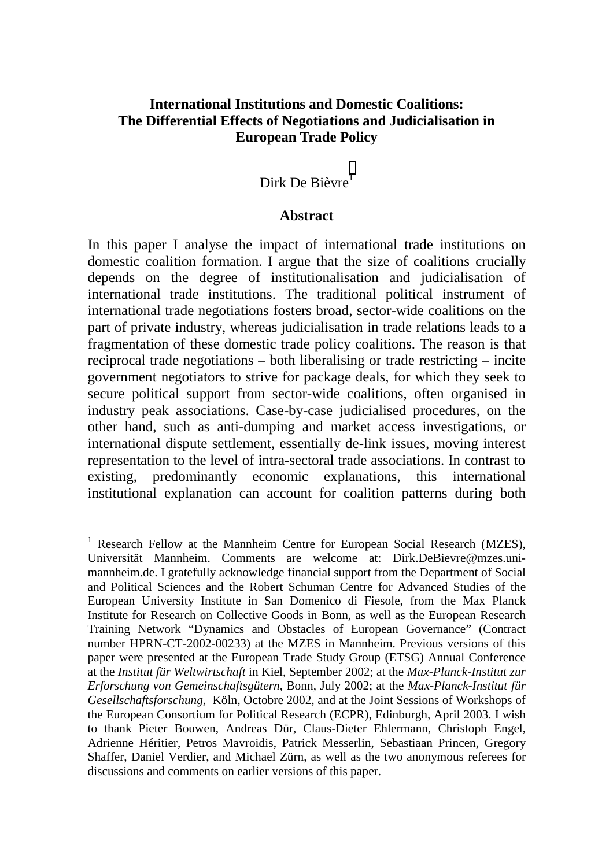# **International Institutions and Domestic Coalitions: The Differential Effects of Negotiations and Judicialisation in European Trade Policy**

# Dirk De Bièvre<sup>1</sup>

#### **Abstract**

In this paper I analyse the impact of international trade institutions on domestic coalition formation. I argue that the size of coalitions crucially depends on the degree of institutionalisation and judicialisation of international trade institutions. The traditional political instrument of international trade negotiations fosters broad, sector-wide coalitions on the part of private industry, whereas judicialisation in trade relations leads to a fragmentation of these domestic trade policy coalitions. The reason is that reciprocal trade negotiations – both liberalising or trade restricting – incite government negotiators to strive for package deals, for which they seek to secure political support from sector-wide coalitions, often organised in industry peak associations. Case-by-case judicialised procedures, on the other hand, such as anti-dumping and market access investigations, or international dispute settlement, essentially de-link issues, moving interest representation to the level of intra-sectoral trade associations. In contrast to existing, predominantly economic explanations, this international institutional explanation can account for coalition patterns during both

l

<sup>&</sup>lt;sup>1</sup> Research Fellow at the Mannheim Centre for European Social Research (MZES), Universität Mannheim. Comments are welcome at: Dirk.DeBievre@mzes.unimannheim.de. I gratefully acknowledge financial support from the Department of Social and Political Sciences and the Robert Schuman Centre for Advanced Studies of the European University Institute in San Domenico di Fiesole, from the Max Planck Institute for Research on Collective Goods in Bonn, as well as the European Research Training Network "Dynamics and Obstacles of European Governance" (Contract number HPRN-CT-2002-00233) at the MZES in Mannheim. Previous versions of this paper were presented at the European Trade Study Group (ETSG) Annual Conference at the *Institut für Weltwirtschaft* in Kiel, September 2002; at the *Max-Planck-Institut zur Erforschung von Gemeinschaftsgütern*, Bonn, July 2002; at the *Max-Planck-Institut für Gesellschaftsforschung,* Köln, Octobre 2002, and at the Joint Sessions of Workshops of the European Consortium for Political Research (ECPR), Edinburgh, April 2003. I wish to thank Pieter Bouwen, Andreas Dür, Claus-Dieter Ehlermann, Christoph Engel, Adrienne Héritier, Petros Mavroidis, Patrick Messerlin, Sebastiaan Princen, Gregory Shaffer, Daniel Verdier, and Michael Zürn, as well as the two anonymous referees for discussions and comments on earlier versions of this paper.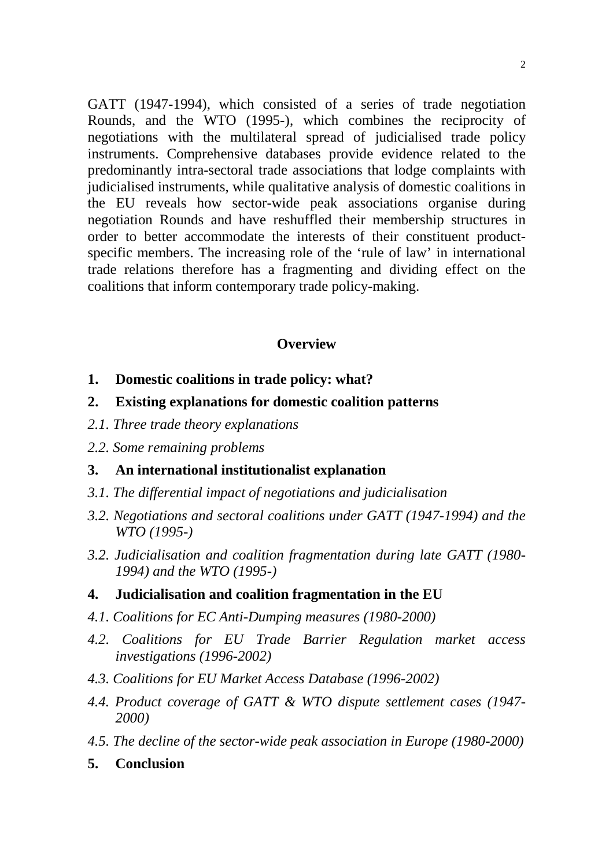GATT (1947-1994), which consisted of a series of trade negotiation Rounds, and the WTO (1995-), which combines the reciprocity of negotiations with the multilateral spread of judicialised trade policy instruments. Comprehensive databases provide evidence related to the predominantly intra-sectoral trade associations that lodge complaints with judicialised instruments, while qualitative analysis of domestic coalitions in the EU reveals how sector-wide peak associations organise during negotiation Rounds and have reshuffled their membership structures in order to better accommodate the interests of their constituent productspecific members. The increasing role of the 'rule of law' in international trade relations therefore has a fragmenting and dividing effect on the coalitions that inform contemporary trade policy-making.

## **Overview**

- **1. Domestic coalitions in trade policy: what?**
- **2. Existing explanations for domestic coalition patterns**
- *2.1. Three trade theory explanations*
- *2.2. Some remaining problems*

# **3. An international institutionalist explanation**

- *3.1. The differential impact of negotiations and judicialisation*
- *3.2. Negotiations and sectoral coalitions under GATT (1947-1994) and the WTO (1995-)*
- *3.2. Judicialisation and coalition fragmentation during late GATT (1980- 1994) and the WTO (1995-)*

# **4. Judicialisation and coalition fragmentation in the EU**

- *4.1. Coalitions for EC Anti-Dumping measures (1980-2000)*
- *4.2. Coalitions for EU Trade Barrier Regulation market access investigations (1996-2002)*
- *4.3. Coalitions for EU Market Access Database (1996-2002)*
- *4.4. Product coverage of GATT & WTO dispute settlement cases (1947- 2000)*
- *4.5. The decline of the sector-wide peak association in Europe (1980-2000)*
- **5. Conclusion**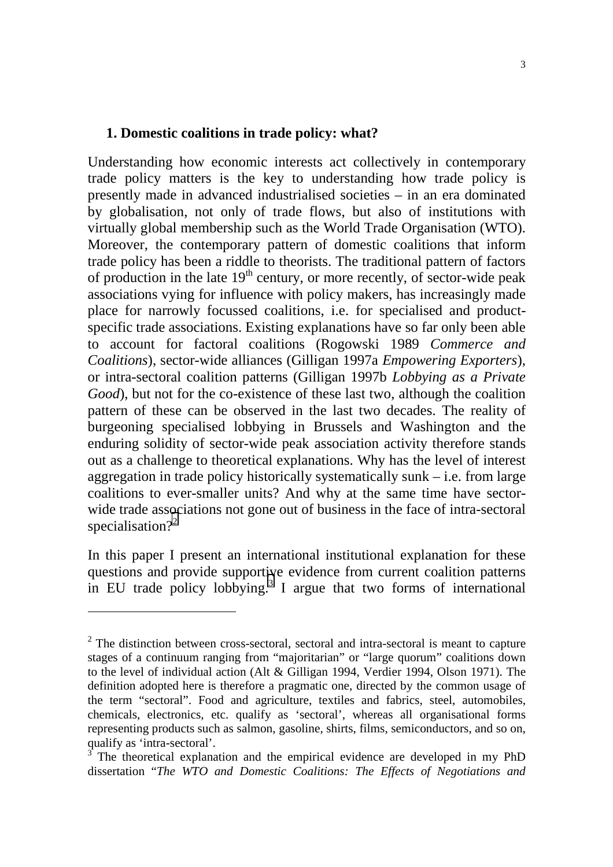#### **1. Domestic coalitions in trade policy: what?**

Understanding how economic interests act collectively in contemporary trade policy matters is the key to understanding how trade policy is presently made in advanced industrialised societies – in an era dominated by globalisation, not only of trade flows, but also of institutions with virtually global membership such as the World Trade Organisation (WTO). Moreover, the contemporary pattern of domestic coalitions that inform trade policy has been a riddle to theorists. The traditional pattern of factors of production in the late  $19<sup>th</sup>$  century, or more recently, of sector-wide peak associations vying for influence with policy makers, has increasingly made place for narrowly focussed coalitions, i.e. for specialised and productspecific trade associations. Existing explanations have so far only been able to account for factoral coalitions (Rogowski 1989 *Commerce and Coalitions*), sector-wide alliances (Gilligan 1997a *Empowering Exporters*), or intra-sectoral coalition patterns (Gilligan 1997b *Lobbying as a Private Good*), but not for the co-existence of these last two, although the coalition pattern of these can be observed in the last two decades. The reality of burgeoning specialised lobbying in Brussels and Washington and the enduring solidity of sector-wide peak association activity therefore stands out as a challenge to theoretical explanations. Why has the level of interest aggregation in trade policy historically systematically sunk – i.e. from large coalitions to ever-smaller units? And why at the same time have sectorwide trade associations not gone out of business in the face of intra-sectoral specialisation?<sup>2</sup>

In this paper I present an international institutional explanation for these questions and provide supportive evidence from current coalition patterns in EU trade policy lobbying.<sup>3</sup> I argue that two forms of international

 $\overline{a}$ 

 $2$  The distinction between cross-sectoral, sectoral and intra-sectoral is meant to capture stages of a continuum ranging from "majoritarian" or "large quorum" coalitions down to the level of individual action (Alt & Gilligan 1994, Verdier 1994, Olson 1971). The definition adopted here is therefore a pragmatic one, directed by the common usage of the term "sectoral". Food and agriculture, textiles and fabrics, steel, automobiles, chemicals, electronics, etc. qualify as 'sectoral', whereas all organisational forms representing products such as salmon, gasoline, shirts, films, semiconductors, and so on, qualify as 'intra-sectoral'.

 $3<sup>3</sup>$  The theoretical explanation and the empirical evidence are developed in my PhD dissertation "*The WTO and Domestic Coalitions: The Effects of Negotiations and*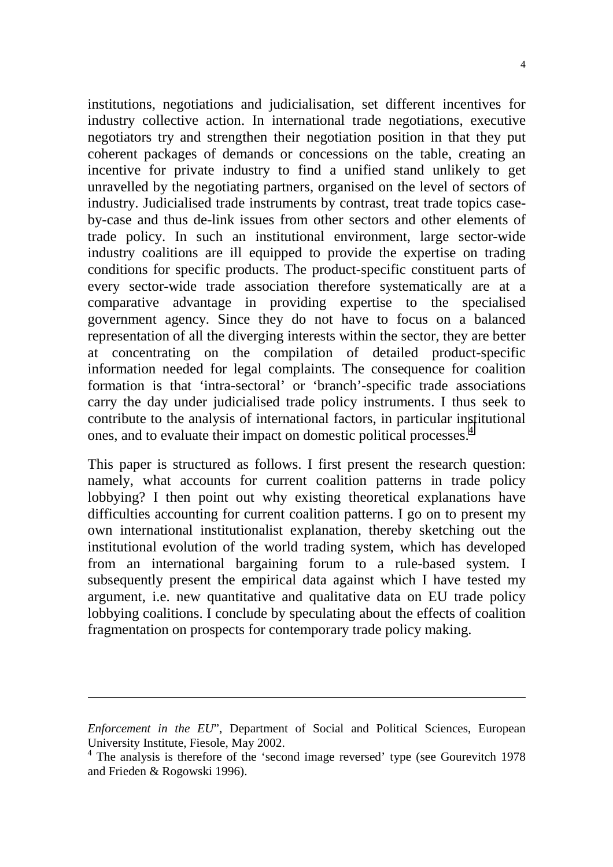institutions, negotiations and judicialisation, set different incentives for industry collective action. In international trade negotiations, executive negotiators try and strengthen their negotiation position in that they put coherent packages of demands or concessions on the table, creating an incentive for private industry to find a unified stand unlikely to get unravelled by the negotiating partners, organised on the level of sectors of industry. Judicialised trade instruments by contrast, treat trade topics caseby-case and thus de-link issues from other sectors and other elements of trade policy. In such an institutional environment, large sector-wide industry coalitions are ill equipped to provide the expertise on trading conditions for specific products. The product-specific constituent parts of every sector-wide trade association therefore systematically are at a comparative advantage in providing expertise to the specialised government agency. Since they do not have to focus on a balanced representation of all the diverging interests within the sector, they are better at concentrating on the compilation of detailed product-specific information needed for legal complaints. The consequence for coalition formation is that 'intra-sectoral' or 'branch'-specific trade associations carry the day under judicialised trade policy instruments. I thus seek to contribute to the analysis of international factors, in particular institutional ones, and to evaluate their impact on domestic political processes.<sup>4</sup>

This paper is structured as follows. I first present the research question: namely, what accounts for current coalition patterns in trade policy lobbying? I then point out why existing theoretical explanations have difficulties accounting for current coalition patterns. I go on to present my own international institutionalist explanation, thereby sketching out the institutional evolution of the world trading system, which has developed from an international bargaining forum to a rule-based system. I subsequently present the empirical data against which I have tested my argument, i.e. new quantitative and qualitative data on EU trade policy lobbying coalitions. I conclude by speculating about the effects of coalition fragmentation on prospects for contemporary trade policy making.

 $\overline{a}$ 

*Enforcement in the EU*", Department of Social and Political Sciences, European University Institute, Fiesole, May 2002.

<sup>&</sup>lt;sup>4</sup> The analysis is therefore of the 'second image reversed' type (see Gourevitch 1978 and Frieden & Rogowski 1996).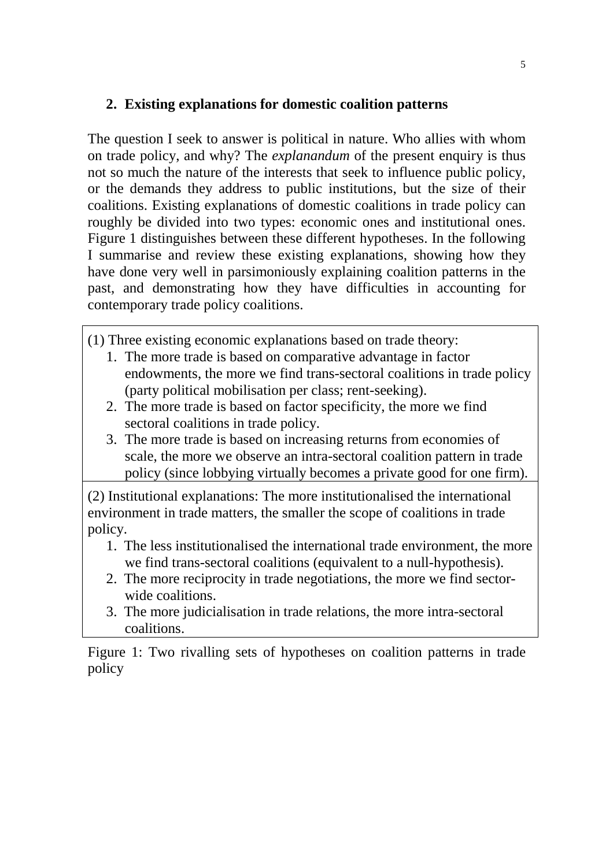# **2. Existing explanations for domestic coalition patterns**

The question I seek to answer is political in nature. Who allies with whom on trade policy, and why? The *explanandum* of the present enquiry is thus not so much the nature of the interests that seek to influence public policy, or the demands they address to public institutions, but the size of their coalitions. Existing explanations of domestic coalitions in trade policy can roughly be divided into two types: economic ones and institutional ones. Figure 1 distinguishes between these different hypotheses. In the following I summarise and review these existing explanations, showing how they have done very well in parsimoniously explaining coalition patterns in the past, and demonstrating how they have difficulties in accounting for contemporary trade policy coalitions.

(1) Three existing economic explanations based on trade theory:

- 1. The more trade is based on comparative advantage in factor endowments, the more we find trans-sectoral coalitions in trade policy (party political mobilisation per class; rent-seeking).
- 2. The more trade is based on factor specificity, the more we find sectoral coalitions in trade policy.
- 3. The more trade is based on increasing returns from economies of scale, the more we observe an intra-sectoral coalition pattern in trade policy (since lobbying virtually becomes a private good for one firm).

(2) Institutional explanations: The more institutionalised the international environment in trade matters, the smaller the scope of coalitions in trade policy.

- 1. The less institutionalised the international trade environment, the more we find trans-sectoral coalitions (equivalent to a null-hypothesis).
- 2. The more reciprocity in trade negotiations, the more we find sectorwide coalitions.
- 3. The more judicialisation in trade relations, the more intra-sectoral coalitions.

Figure 1: Two rivalling sets of hypotheses on coalition patterns in trade policy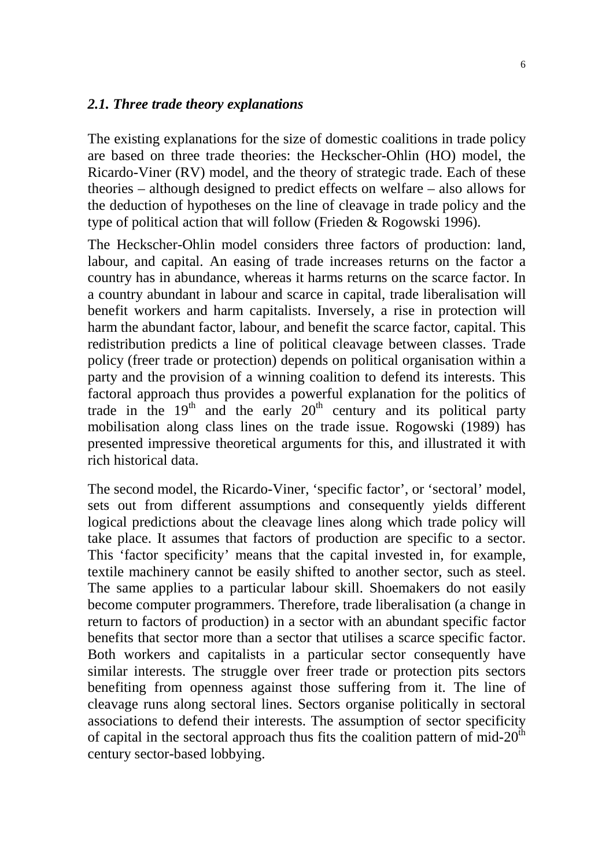#### *2.1. Three trade theory explanations*

The existing explanations for the size of domestic coalitions in trade policy are based on three trade theories: the Heckscher-Ohlin (HO) model, the Ricardo-Viner (RV) model, and the theory of strategic trade. Each of these theories – although designed to predict effects on welfare – also allows for the deduction of hypotheses on the line of cleavage in trade policy and the type of political action that will follow (Frieden & Rogowski 1996).

The Heckscher-Ohlin model considers three factors of production: land, labour, and capital. An easing of trade increases returns on the factor a country has in abundance, whereas it harms returns on the scarce factor. In a country abundant in labour and scarce in capital, trade liberalisation will benefit workers and harm capitalists. Inversely, a rise in protection will harm the abundant factor, labour, and benefit the scarce factor, capital. This redistribution predicts a line of political cleavage between classes. Trade policy (freer trade or protection) depends on political organisation within a party and the provision of a winning coalition to defend its interests. This factoral approach thus provides a powerful explanation for the politics of trade in the  $19<sup>th</sup>$  and the early  $20<sup>th</sup>$  century and its political party mobilisation along class lines on the trade issue. Rogowski (1989) has presented impressive theoretical arguments for this, and illustrated it with rich historical data.

The second model, the Ricardo-Viner, 'specific factor', or 'sectoral' model, sets out from different assumptions and consequently yields different logical predictions about the cleavage lines along which trade policy will take place. It assumes that factors of production are specific to a sector. This 'factor specificity' means that the capital invested in, for example, textile machinery cannot be easily shifted to another sector, such as steel. The same applies to a particular labour skill. Shoemakers do not easily become computer programmers. Therefore, trade liberalisation (a change in return to factors of production) in a sector with an abundant specific factor benefits that sector more than a sector that utilises a scarce specific factor. Both workers and capitalists in a particular sector consequently have similar interests. The struggle over freer trade or protection pits sectors benefiting from openness against those suffering from it. The line of cleavage runs along sectoral lines. Sectors organise politically in sectoral associations to defend their interests. The assumption of sector specificity of capital in the sectoral approach thus fits the coalition pattern of mid- $20<sup>th</sup>$ century sector-based lobbying.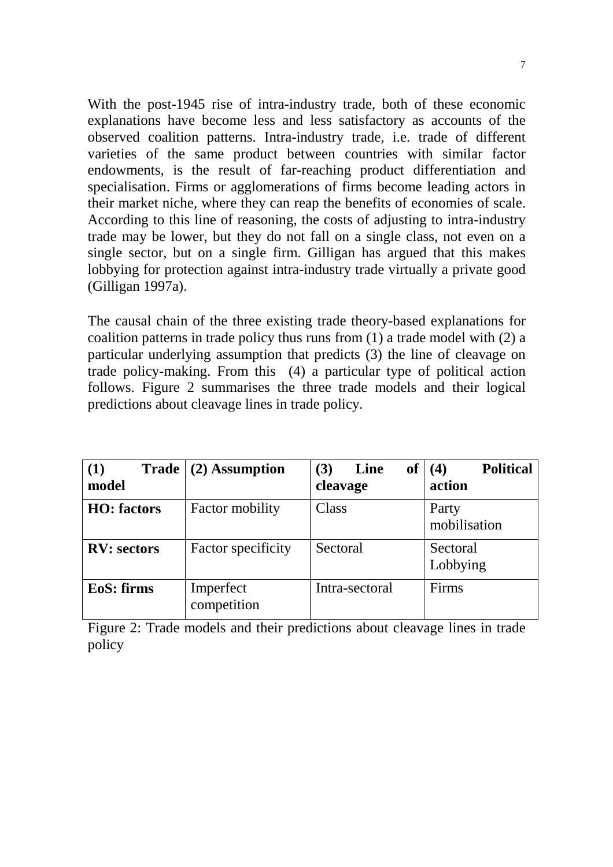With the post-1945 rise of intra-industry trade, both of these economic explanations have become less and less satisfactory as accounts of the observed coalition patterns. Intra-industry trade, i.e. trade of different varieties of the same product between countries with similar factor endowments, is the result of far-reaching product differentiation and specialisation. Firms or agglomerations of firms become leading actors in their market niche, where they can reap the benefits of economies of scale. According to this line of reasoning, the costs of adjusting to intra-industry trade may be lower, but they do not fall on a single class, not even on a single sector, but on a single firm. Gilligan has argued that this makes lobbying for protection against intra-industry trade virtually a private good (Gilligan 1997a).

The causal chain of the three existing trade theory-based explanations for coalition patterns in trade policy thus runs from (1) a trade model with (2) a particular underlying assumption that predicts (3) the line of cleavage on trade policy-making. From this (4) a particular type of political action follows. Figure 2 summarises the three trade models and their logical predictions about cleavage lines in trade policy.

| (1)<br><b>Trade</b><br>model | (2) Assumption           | Line<br>(3)<br>of<br>cleavage | <b>Political</b><br>(4)<br>action |
|------------------------------|--------------------------|-------------------------------|-----------------------------------|
| <b>HO</b> : factors          | Factor mobility          | Class                         | Party<br>mobilisation             |
| <b>RV: sectors</b>           | Factor specificity       | Sectoral                      | Sectoral<br>Lobbying              |
| EoS: firms                   | Imperfect<br>competition | Intra-sectoral                | Firms                             |

Figure 2: Trade models and their predictions about cleavage lines in trade policy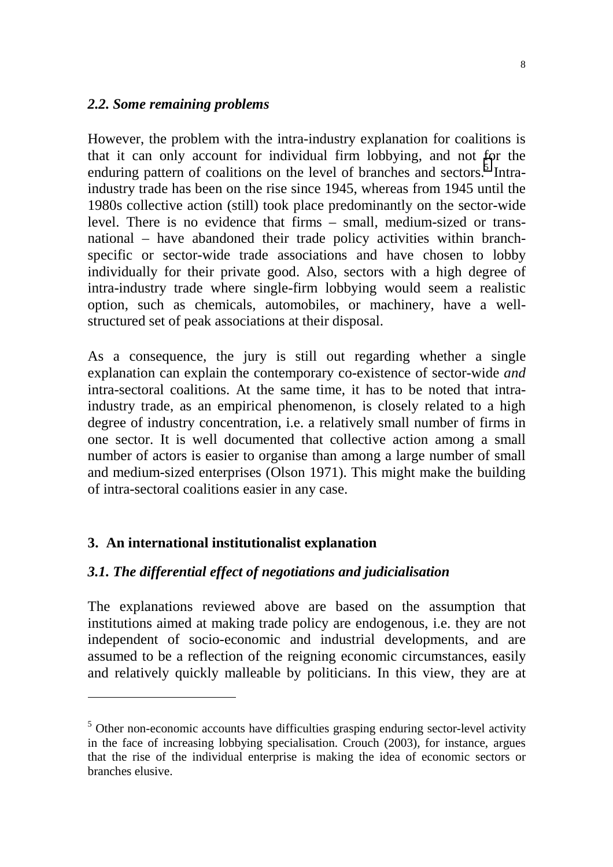#### *2.2. Some remaining problems*

However, the problem with the intra-industry explanation for coalitions is that it can only account for individual firm lobbying, and not for the enduring pattern of coalitions on the level of branches and sectors.<sup>5</sup> Intraindustry trade has been on the rise since 1945, whereas from 1945 until the 1980s collective action (still) took place predominantly on the sector-wide level. There is no evidence that firms – small, medium-sized or transnational – have abandoned their trade policy activities within branchspecific or sector-wide trade associations and have chosen to lobby individually for their private good. Also, sectors with a high degree of intra-industry trade where single-firm lobbying would seem a realistic option, such as chemicals, automobiles, or machinery, have a wellstructured set of peak associations at their disposal.

As a consequence, the jury is still out regarding whether a single explanation can explain the contemporary co-existence of sector-wide *and* intra-sectoral coalitions. At the same time, it has to be noted that intraindustry trade, as an empirical phenomenon, is closely related to a high degree of industry concentration, i.e. a relatively small number of firms in one sector. It is well documented that collective action among a small number of actors is easier to organise than among a large number of small and medium-sized enterprises (Olson 1971). This might make the building of intra-sectoral coalitions easier in any case.

# **3. An international institutionalist explanation**

 $\overline{a}$ 

#### *3.1. The differential effect of negotiations and judicialisation*

The explanations reviewed above are based on the assumption that institutions aimed at making trade policy are endogenous, i.e. they are not independent of socio-economic and industrial developments, and are assumed to be a reflection of the reigning economic circumstances, easily and relatively quickly malleable by politicians. In this view, they are at

<sup>&</sup>lt;sup>5</sup> Other non-economic accounts have difficulties grasping enduring sector-level activity in the face of increasing lobbying specialisation. Crouch (2003), for instance, argues that the rise of the individual enterprise is making the idea of economic sectors or branches elusive.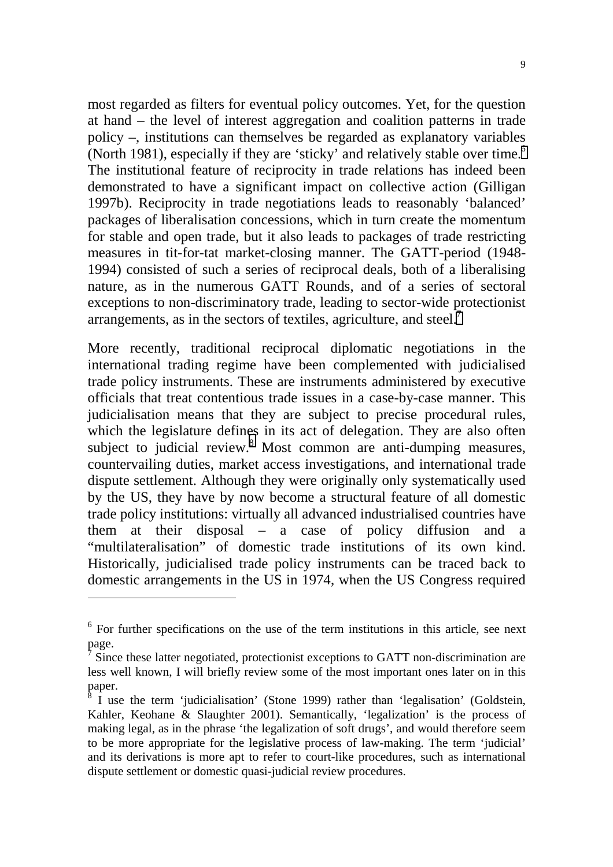most regarded as filters for eventual policy outcomes. Yet, for the question at hand – the level of interest aggregation and coalition patterns in trade policy –, institutions can themselves be regarded as explanatory variables (North 1981), especially if they are 'sticky' and relatively stable over time.<sup>6</sup> The institutional feature of reciprocity in trade relations has indeed been demonstrated to have a significant impact on collective action (Gilligan 1997b). Reciprocity in trade negotiations leads to reasonably 'balanced' packages of liberalisation concessions, which in turn create the momentum for stable and open trade, but it also leads to packages of trade restricting measures in tit-for-tat market-closing manner. The GATT-period (1948- 1994) consisted of such a series of reciprocal deals, both of a liberalising nature, as in the numerous GATT Rounds, and of a series of sectoral exceptions to non-discriminatory trade, leading to sector-wide protectionist arrangements, as in the sectors of textiles, agriculture, and steel. $\overline{1}$ 

More recently, traditional reciprocal diplomatic negotiations in the international trading regime have been complemented with judicialised trade policy instruments. These are instruments administered by executive officials that treat contentious trade issues in a case-by-case manner. This judicialisation means that they are subject to precise procedural rules, which the legislature defines in its act of delegation. They are also often subject to judicial review. $8\,$  Most common are anti-dumping measures, countervailing duties, market access investigations, and international trade dispute settlement. Although they were originally only systematically used by the US, they have by now become a structural feature of all domestic trade policy institutions: virtually all advanced industrialised countries have them at their disposal – a case of policy diffusion and a "multilateralisation" of domestic trade institutions of its own kind. Historically, judicialised trade policy instruments can be traced back to domestic arrangements in the US in 1974, when the US Congress required

l

<sup>&</sup>lt;sup>6</sup> For further specifications on the use of the term institutions in this article, see next page.

 $\bar{7}$  Since these latter negotiated, protectionist exceptions to GATT non-discrimination are less well known, I will briefly review some of the most important ones later on in this paper.<br><sup>8</sup> I use the term 'judicialisation' (Stone 1999) rather than 'legalisation' (Goldstein,

Kahler, Keohane & Slaughter 2001). Semantically, 'legalization' is the process of making legal, as in the phrase 'the legalization of soft drugs', and would therefore seem to be more appropriate for the legislative process of law-making. The term 'judicial' and its derivations is more apt to refer to court-like procedures, such as international dispute settlement or domestic quasi-judicial review procedures.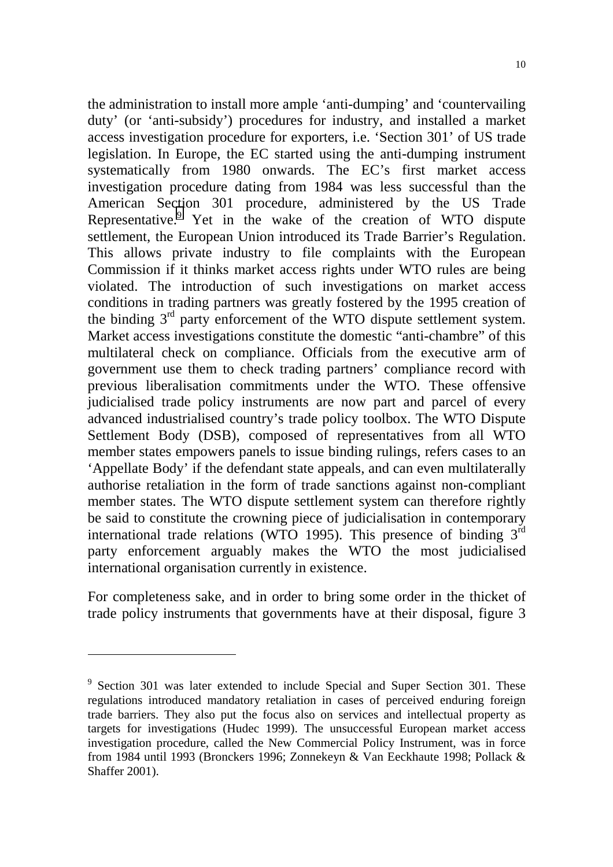the administration to install more ample 'anti-dumping' and 'countervailing duty' (or 'anti-subsidy') procedures for industry, and installed a market access investigation procedure for exporters, i.e. 'Section 301' of US trade legislation. In Europe, the EC started using the anti-dumping instrument systematically from 1980 onwards. The EC's first market access investigation procedure dating from 1984 was less successful than the American Section 301 procedure, administered by the US Trade Representative.<sup>9</sup> Yet in the wake of the creation of WTO dispute settlement, the European Union introduced its Trade Barrier's Regulation. This allows private industry to file complaints with the European Commission if it thinks market access rights under WTO rules are being violated. The introduction of such investigations on market access conditions in trading partners was greatly fostered by the 1995 creation of the binding 3rd party enforcement of the WTO dispute settlement system. Market access investigations constitute the domestic "anti-chambre" of this multilateral check on compliance. Officials from the executive arm of government use them to check trading partners' compliance record with previous liberalisation commitments under the WTO. These offensive judicialised trade policy instruments are now part and parcel of every advanced industrialised country's trade policy toolbox. The WTO Dispute Settlement Body (DSB), composed of representatives from all WTO member states empowers panels to issue binding rulings, refers cases to an 'Appellate Body' if the defendant state appeals, and can even multilaterally authorise retaliation in the form of trade sanctions against non-compliant member states. The WTO dispute settlement system can therefore rightly be said to constitute the crowning piece of judicialisation in contemporary international trade relations (WTO 1995). This presence of binding 3rd party enforcement arguably makes the WTO the most judicialised international organisation currently in existence.

For completeness sake, and in order to bring some order in the thicket of trade policy instruments that governments have at their disposal, figure 3

l

 $9$  Section 301 was later extended to include Special and Super Section 301. These regulations introduced mandatory retaliation in cases of perceived enduring foreign trade barriers. They also put the focus also on services and intellectual property as targets for investigations (Hudec 1999). The unsuccessful European market access investigation procedure, called the New Commercial Policy Instrument, was in force from 1984 until 1993 (Bronckers 1996; Zonnekeyn & Van Eeckhaute 1998; Pollack & Shaffer 2001).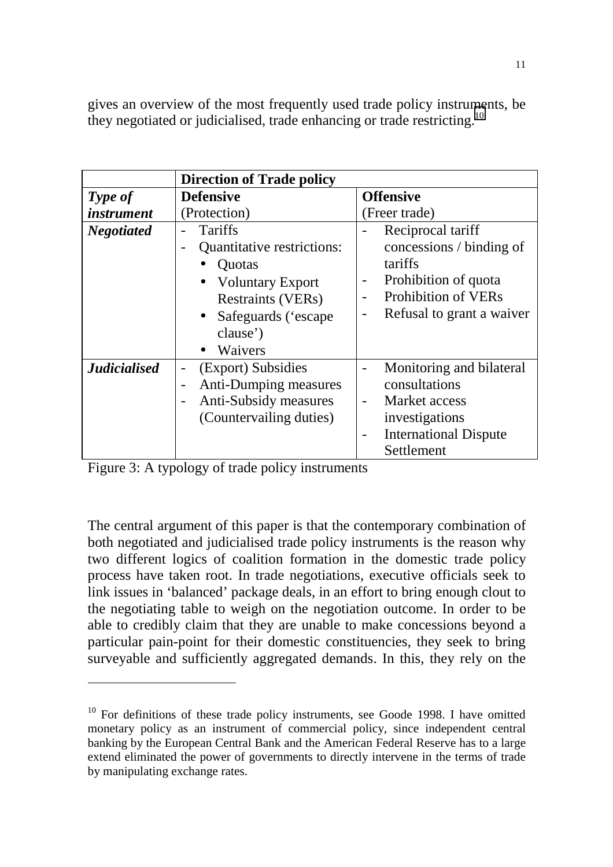gives an overview of the most frequently used trade policy instruments, be they negotiated or judicialised, trade enhancing or trade restricting.<sup>10</sup>

|                     | <b>Direction of Trade policy</b>                                                                                                                                           |                                                                                                                                                        |  |
|---------------------|----------------------------------------------------------------------------------------------------------------------------------------------------------------------------|--------------------------------------------------------------------------------------------------------------------------------------------------------|--|
| Type of             | <b>Defensive</b>                                                                                                                                                           | <b>Offensive</b>                                                                                                                                       |  |
| <i>instrument</i>   | (Protection)                                                                                                                                                               | (Freer trade)                                                                                                                                          |  |
| <b>Negotiated</b>   | Tariffs<br><b>Quantitative restrictions:</b><br>Quotas<br><b>Voluntary Export</b><br>$\bullet$<br><b>Restraints (VERs)</b><br>Safeguards ('escape<br>$\bullet$<br>clause') | Reciprocal tariff<br>concessions / binding of<br>tariffs<br>Prohibition of quota<br><b>Prohibition of VERs</b><br>Refusal to grant a waiver            |  |
|                     | Waivers                                                                                                                                                                    |                                                                                                                                                        |  |
| <b>Judicialised</b> | (Export) Subsidies<br>$\overline{a}$<br>Anti-Dumping measures<br>-<br>Anti-Subsidy measures<br>$\overline{\phantom{0}}$<br>(Countervailing duties)                         | Monitoring and bilateral<br>consultations<br>Market access<br>$\overline{\phantom{0}}$<br>investigations<br><b>International Dispute</b><br>Settlement |  |

Figure 3: A typology of trade policy instruments

 $\overline{a}$ 

The central argument of this paper is that the contemporary combination of both negotiated and judicialised trade policy instruments is the reason why two different logics of coalition formation in the domestic trade policy process have taken root. In trade negotiations, executive officials seek to link issues in 'balanced' package deals, in an effort to bring enough clout to the negotiating table to weigh on the negotiation outcome. In order to be able to credibly claim that they are unable to make concessions beyond a particular pain-point for their domestic constituencies, they seek to bring surveyable and sufficiently aggregated demands. In this, they rely on the

 $10$  For definitions of these trade policy instruments, see Goode 1998. I have omitted monetary policy as an instrument of commercial policy, since independent central banking by the European Central Bank and the American Federal Reserve has to a large extend eliminated the power of governments to directly intervene in the terms of trade by manipulating exchange rates.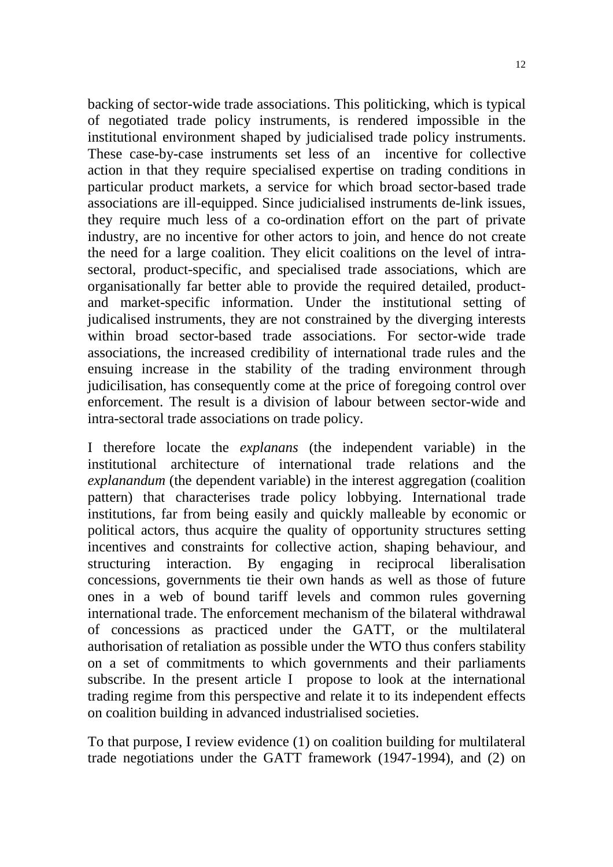backing of sector-wide trade associations. This politicking, which is typical of negotiated trade policy instruments, is rendered impossible in the institutional environment shaped by judicialised trade policy instruments. These case-by-case instruments set less of an incentive for collective action in that they require specialised expertise on trading conditions in particular product markets, a service for which broad sector-based trade associations are ill-equipped. Since judicialised instruments de-link issues, they require much less of a co-ordination effort on the part of private industry, are no incentive for other actors to join, and hence do not create the need for a large coalition. They elicit coalitions on the level of intrasectoral, product-specific, and specialised trade associations, which are organisationally far better able to provide the required detailed, productand market-specific information. Under the institutional setting of judicalised instruments, they are not constrained by the diverging interests within broad sector-based trade associations. For sector-wide trade associations, the increased credibility of international trade rules and the ensuing increase in the stability of the trading environment through judicilisation, has consequently come at the price of foregoing control over enforcement. The result is a division of labour between sector-wide and intra-sectoral trade associations on trade policy.

I therefore locate the *explanans* (the independent variable) in the institutional architecture of international trade relations and the *explanandum* (the dependent variable) in the interest aggregation (coalition pattern) that characterises trade policy lobbying. International trade institutions, far from being easily and quickly malleable by economic or political actors, thus acquire the quality of opportunity structures setting incentives and constraints for collective action, shaping behaviour, and structuring interaction. By engaging in reciprocal liberalisation concessions, governments tie their own hands as well as those of future ones in a web of bound tariff levels and common rules governing international trade. The enforcement mechanism of the bilateral withdrawal of concessions as practiced under the GATT, or the multilateral authorisation of retaliation as possible under the WTO thus confers stability on a set of commitments to which governments and their parliaments subscribe. In the present article I propose to look at the international trading regime from this perspective and relate it to its independent effects on coalition building in advanced industrialised societies.

To that purpose, I review evidence (1) on coalition building for multilateral trade negotiations under the GATT framework (1947-1994), and (2) on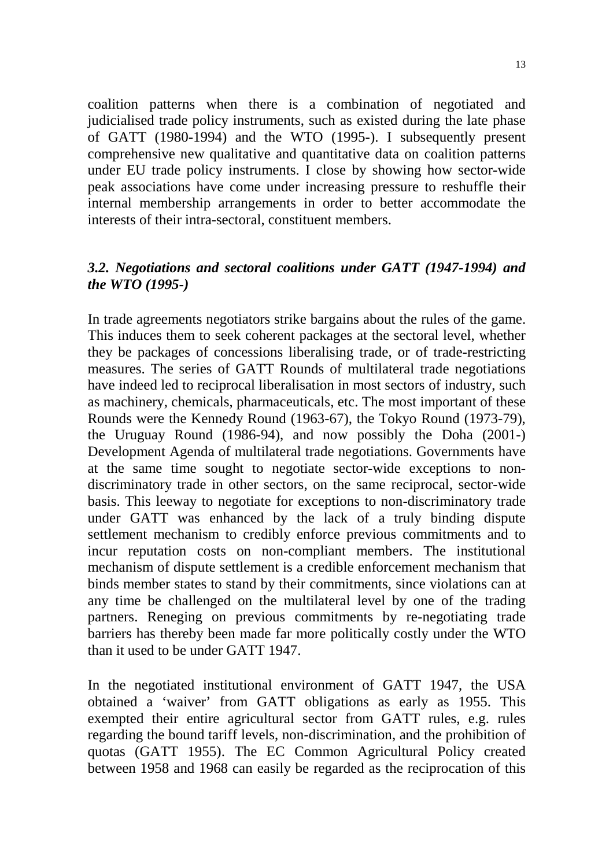coalition patterns when there is a combination of negotiated and judicialised trade policy instruments, such as existed during the late phase of GATT (1980-1994) and the WTO (1995-). I subsequently present comprehensive new qualitative and quantitative data on coalition patterns under EU trade policy instruments. I close by showing how sector-wide peak associations have come under increasing pressure to reshuffle their internal membership arrangements in order to better accommodate the interests of their intra-sectoral, constituent members.

## *3.2. Negotiations and sectoral coalitions under GATT (1947-1994) and the WTO (1995-)*

In trade agreements negotiators strike bargains about the rules of the game. This induces them to seek coherent packages at the sectoral level, whether they be packages of concessions liberalising trade, or of trade-restricting measures. The series of GATT Rounds of multilateral trade negotiations have indeed led to reciprocal liberalisation in most sectors of industry, such as machinery, chemicals, pharmaceuticals, etc. The most important of these Rounds were the Kennedy Round (1963-67), the Tokyo Round (1973-79), the Uruguay Round (1986-94), and now possibly the Doha (2001-) Development Agenda of multilateral trade negotiations. Governments have at the same time sought to negotiate sector-wide exceptions to nondiscriminatory trade in other sectors, on the same reciprocal, sector-wide basis. This leeway to negotiate for exceptions to non-discriminatory trade under GATT was enhanced by the lack of a truly binding dispute settlement mechanism to credibly enforce previous commitments and to incur reputation costs on non-compliant members. The institutional mechanism of dispute settlement is a credible enforcement mechanism that binds member states to stand by their commitments, since violations can at any time be challenged on the multilateral level by one of the trading partners. Reneging on previous commitments by re-negotiating trade barriers has thereby been made far more politically costly under the WTO than it used to be under GATT 1947.

In the negotiated institutional environment of GATT 1947, the USA obtained a 'waiver' from GATT obligations as early as 1955. This exempted their entire agricultural sector from GATT rules, e.g. rules regarding the bound tariff levels, non-discrimination, and the prohibition of quotas (GATT 1955). The EC Common Agricultural Policy created between 1958 and 1968 can easily be regarded as the reciprocation of this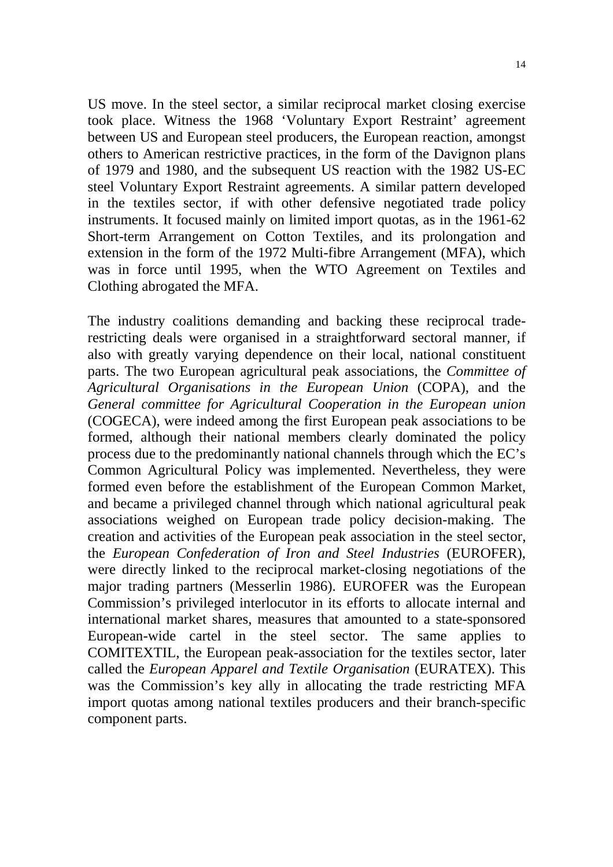US move. In the steel sector, a similar reciprocal market closing exercise took place. Witness the 1968 'Voluntary Export Restraint' agreement between US and European steel producers, the European reaction, amongst others to American restrictive practices, in the form of the Davignon plans of 1979 and 1980, and the subsequent US reaction with the 1982 US-EC steel Voluntary Export Restraint agreements. A similar pattern developed in the textiles sector, if with other defensive negotiated trade policy instruments. It focused mainly on limited import quotas, as in the 1961-62 Short-term Arrangement on Cotton Textiles, and its prolongation and extension in the form of the 1972 Multi-fibre Arrangement (MFA), which was in force until 1995, when the WTO Agreement on Textiles and Clothing abrogated the MFA.

The industry coalitions demanding and backing these reciprocal traderestricting deals were organised in a straightforward sectoral manner, if also with greatly varying dependence on their local, national constituent parts. The two European agricultural peak associations, the *Committee of Agricultural Organisations in the European Union* (COPA), and the *General committee for Agricultural Cooperation in the European union* (COGECA), were indeed among the first European peak associations to be formed, although their national members clearly dominated the policy process due to the predominantly national channels through which the EC's Common Agricultural Policy was implemented. Nevertheless, they were formed even before the establishment of the European Common Market, and became a privileged channel through which national agricultural peak associations weighed on European trade policy decision-making. The creation and activities of the European peak association in the steel sector, the *European Confederation of Iron and Steel Industries* (EUROFER), were directly linked to the reciprocal market-closing negotiations of the major trading partners (Messerlin 1986). EUROFER was the European Commission's privileged interlocutor in its efforts to allocate internal and international market shares, measures that amounted to a state-sponsored European-wide cartel in the steel sector. The same applies to COMITEXTIL, the European peak-association for the textiles sector, later called the *European Apparel and Textile Organisation* (EURATEX). This was the Commission's key ally in allocating the trade restricting MFA import quotas among national textiles producers and their branch-specific component parts.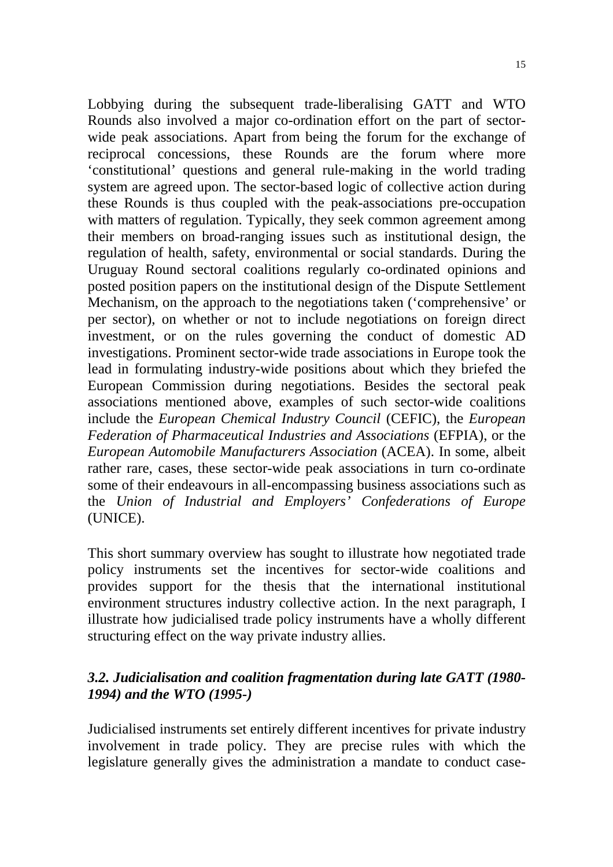Lobbying during the subsequent trade-liberalising GATT and WTO Rounds also involved a major co-ordination effort on the part of sectorwide peak associations. Apart from being the forum for the exchange of reciprocal concessions, these Rounds are the forum where more 'constitutional' questions and general rule-making in the world trading system are agreed upon. The sector-based logic of collective action during these Rounds is thus coupled with the peak-associations pre-occupation with matters of regulation. Typically, they seek common agreement among their members on broad-ranging issues such as institutional design, the regulation of health, safety, environmental or social standards. During the Uruguay Round sectoral coalitions regularly co-ordinated opinions and posted position papers on the institutional design of the Dispute Settlement Mechanism, on the approach to the negotiations taken ('comprehensive' or per sector), on whether or not to include negotiations on foreign direct investment, or on the rules governing the conduct of domestic AD investigations. Prominent sector-wide trade associations in Europe took the lead in formulating industry-wide positions about which they briefed the European Commission during negotiations. Besides the sectoral peak associations mentioned above, examples of such sector-wide coalitions include the *European Chemical Industry Council* (CEFIC), the *European Federation of Pharmaceutical Industries and Associations* (EFPIA), or the *European Automobile Manufacturers Association* (ACEA). In some, albeit rather rare, cases, these sector-wide peak associations in turn co-ordinate some of their endeavours in all-encompassing business associations such as the *Union of Industrial and Employers' Confederations of Europe* (UNICE).

This short summary overview has sought to illustrate how negotiated trade policy instruments set the incentives for sector-wide coalitions and provides support for the thesis that the international institutional environment structures industry collective action. In the next paragraph, I illustrate how judicialised trade policy instruments have a wholly different structuring effect on the way private industry allies.

# *3.2. Judicialisation and coalition fragmentation during late GATT (1980- 1994) and the WTO (1995-)*

Judicialised instruments set entirely different incentives for private industry involvement in trade policy. They are precise rules with which the legislature generally gives the administration a mandate to conduct case-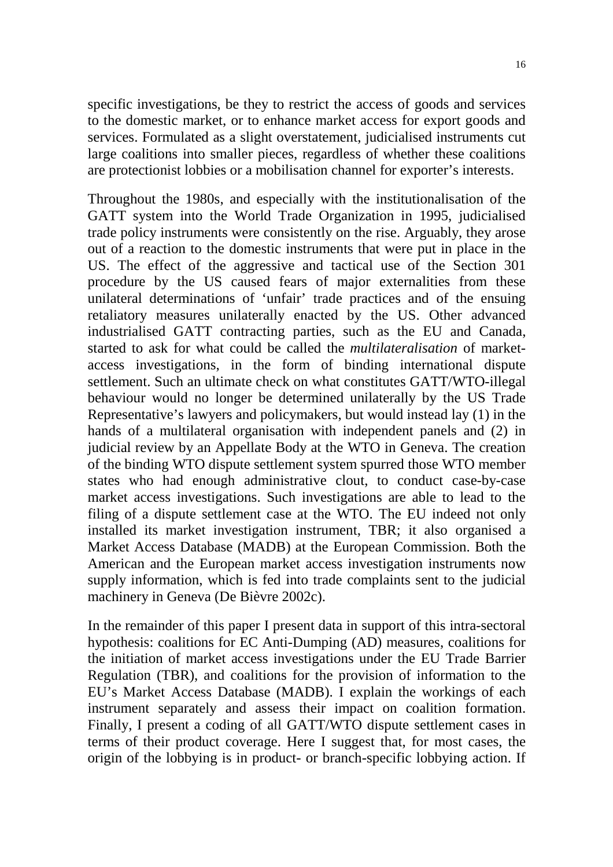specific investigations, be they to restrict the access of goods and services to the domestic market, or to enhance market access for export goods and services. Formulated as a slight overstatement, judicialised instruments cut large coalitions into smaller pieces, regardless of whether these coalitions are protectionist lobbies or a mobilisation channel for exporter's interests.

Throughout the 1980s, and especially with the institutionalisation of the GATT system into the World Trade Organization in 1995, judicialised trade policy instruments were consistently on the rise. Arguably, they arose out of a reaction to the domestic instruments that were put in place in the US. The effect of the aggressive and tactical use of the Section 301 procedure by the US caused fears of major externalities from these unilateral determinations of 'unfair' trade practices and of the ensuing retaliatory measures unilaterally enacted by the US. Other advanced industrialised GATT contracting parties, such as the EU and Canada, started to ask for what could be called the *multilateralisation* of marketaccess investigations, in the form of binding international dispute settlement. Such an ultimate check on what constitutes GATT/WTO-illegal behaviour would no longer be determined unilaterally by the US Trade Representative's lawyers and policymakers, but would instead lay (1) in the hands of a multilateral organisation with independent panels and (2) in judicial review by an Appellate Body at the WTO in Geneva. The creation of the binding WTO dispute settlement system spurred those WTO member states who had enough administrative clout, to conduct case-by-case market access investigations. Such investigations are able to lead to the filing of a dispute settlement case at the WTO. The EU indeed not only installed its market investigation instrument, TBR; it also organised a Market Access Database (MADB) at the European Commission. Both the American and the European market access investigation instruments now supply information, which is fed into trade complaints sent to the judicial machinery in Geneva (De Bièvre 2002c).

In the remainder of this paper I present data in support of this intra-sectoral hypothesis: coalitions for EC Anti-Dumping (AD) measures, coalitions for the initiation of market access investigations under the EU Trade Barrier Regulation (TBR), and coalitions for the provision of information to the EU's Market Access Database (MADB). I explain the workings of each instrument separately and assess their impact on coalition formation. Finally, I present a coding of all GATT/WTO dispute settlement cases in terms of their product coverage. Here I suggest that, for most cases, the origin of the lobbying is in product- or branch-specific lobbying action. If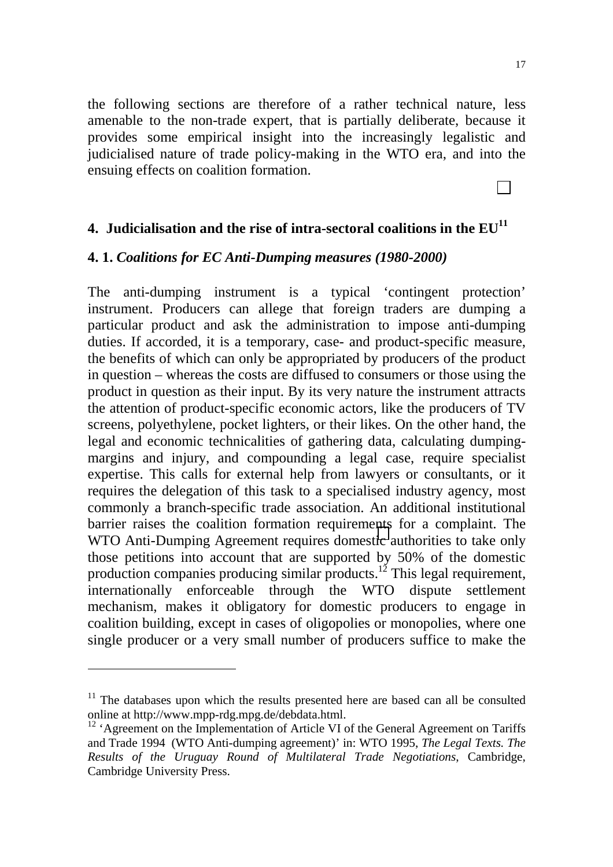the following sections are therefore of a rather technical nature, less amenable to the non-trade expert, that is partially deliberate, because it provides some empirical insight into the increasingly legalistic and judicialised nature of trade policy-making in the WTO era, and into the ensuing effects on coalition formation.

# **4. Judicialisation and the rise of intra-sectoral coalitions in the**  $EU<sup>11</sup>$

#### **4. 1.** *Coalitions for EC Anti-Dumping measures (1980-2000)*

The anti-dumping instrument is a typical 'contingent protection' instrument. Producers can allege that foreign traders are dumping a particular product and ask the administration to impose anti-dumping duties. If accorded, it is a temporary, case- and product-specific measure, the benefits of which can only be appropriated by producers of the product in question – whereas the costs are diffused to consumers or those using the product in question as their input. By its very nature the instrument attracts the attention of product-specific economic actors, like the producers of TV screens, polyethylene, pocket lighters, or their likes. On the other hand, the legal and economic technicalities of gathering data, calculating dumpingmargins and injury, and compounding a legal case, require specialist expertise. This calls for external help from lawyers or consultants, or it requires the delegation of this task to a specialised industry agency, most commonly a branch-specific trade association. An additional institutional barrier raises the coalition formation requirements for a complaint. The WTO Anti-Dumping Agreement requires domestic authorities to take only those petitions into account that are supported by 50% of the domestic production companies producing similar products.<sup>12</sup> This legal requirement, internationally enforceable through the WTO dispute settlement mechanism, makes it obligatory for domestic producers to engage in coalition building, except in cases of oligopolies or monopolies, where one single producer or a very small number of producers suffice to make the

l

 $11$  The databases upon which the results presented here are based can all be consulted online at http://www.mpp-rdg.mpg.de/debdata.html.

<sup>&</sup>lt;sup>12</sup> 'Agreement on the Implementation of Article VI of the General Agreement on Tariffs and Trade 1994 (WTO Anti-dumping agreement)' in: WTO 1995, *The Legal Texts. The Results of the Uruguay Round of Multilateral Trade Negotiations*, Cambridge, Cambridge University Press.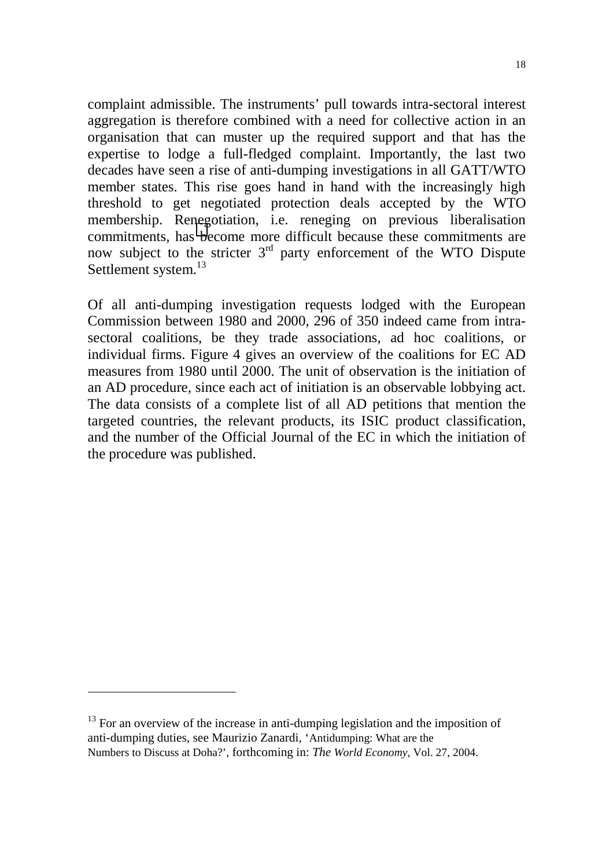complaint admissible. The instruments' pull towards intra-sectoral interest aggregation is therefore combined with a need for collective action in an organisation that can muster up the required support and that has the expertise to lodge a full-fledged complaint. Importantly, the last two decades have seen a rise of anti-dumping investigations in all GATT/WTO member states. This rise goes hand in hand with the increasingly high threshold to get negotiated protection deals accepted by the WTO membership. Renegotiation, i.e. reneging on previous liberalisation commitments, has become more difficult because these commitments are now subject to the stricter  $3<sup>rd</sup>$  party enforcement of the WTO Dispute Settlement system.<sup>13</sup>

Of all anti-dumping investigation requests lodged with the European Commission between 1980 and 2000, 296 of 350 indeed came from intrasectoral coalitions, be they trade associations, ad hoc coalitions, or individual firms. Figure 4 gives an overview of the coalitions for EC AD measures from 1980 until 2000. The unit of observation is the initiation of an AD procedure, since each act of initiation is an observable lobbying act. The data consists of a complete list of all AD petitions that mention the targeted countries, the relevant products, its ISIC product classification, and the number of the Official Journal of the EC in which the initiation of the procedure was published.

 $\overline{a}$ 

<sup>&</sup>lt;sup>13</sup> For an overview of the increase in anti-dumping legislation and the imposition of anti-dumping duties, see Maurizio Zanardi, 'Antidumping: What are the Numbers to Discuss at Doha?', forthcoming in: *The World Economy,* Vol. 27, 2004.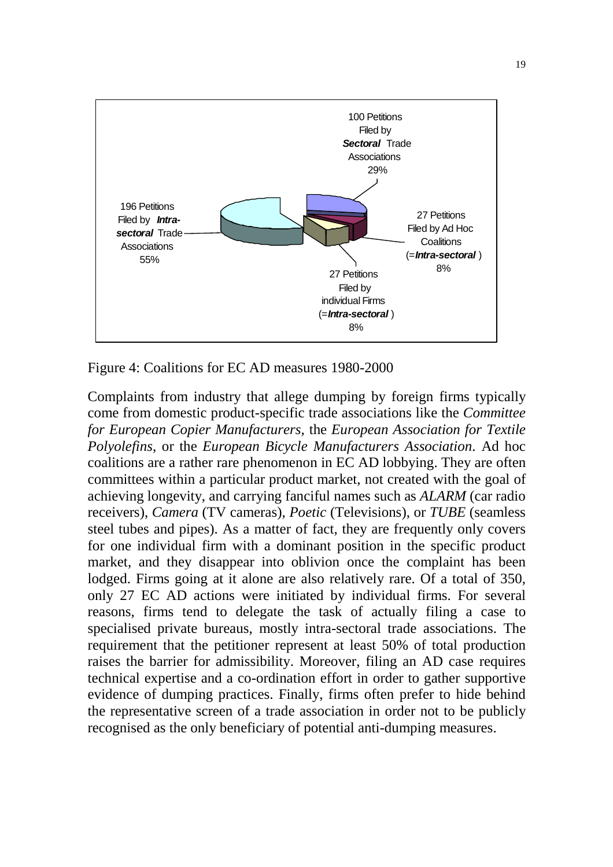

Figure 4: Coalitions for EC AD measures 1980-2000

Complaints from industry that allege dumping by foreign firms typically come from domestic product-specific trade associations like the *Committee for European Copier Manufacturers*, the *European Association for Textile Polyolefins*, or the *European Bicycle Manufacturers Association*. Ad hoc coalitions are a rather rare phenomenon in EC AD lobbying. They are often committees within a particular product market, not created with the goal of achieving longevity, and carrying fanciful names such as *ALARM* (car radio receivers), *Camera* (TV cameras), *Poetic* (Televisions), or *TUBE* (seamless steel tubes and pipes). As a matter of fact, they are frequently only covers for one individual firm with a dominant position in the specific product market, and they disappear into oblivion once the complaint has been lodged. Firms going at it alone are also relatively rare. Of a total of 350, only 27 EC AD actions were initiated by individual firms. For several reasons, firms tend to delegate the task of actually filing a case to specialised private bureaus, mostly intra-sectoral trade associations. The requirement that the petitioner represent at least 50% of total production raises the barrier for admissibility. Moreover, filing an AD case requires technical expertise and a co-ordination effort in order to gather supportive evidence of dumping practices. Finally, firms often prefer to hide behind the representative screen of a trade association in order not to be publicly recognised as the only beneficiary of potential anti-dumping measures.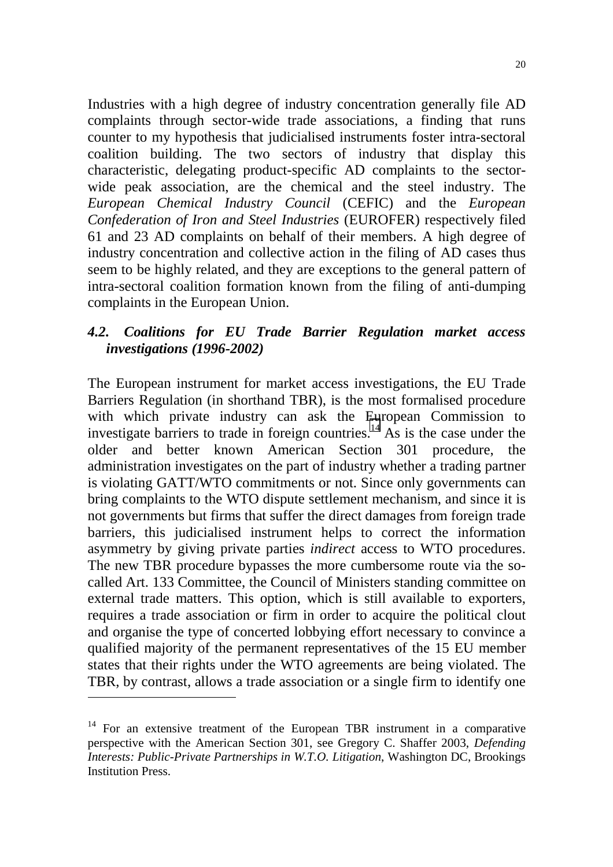Industries with a high degree of industry concentration generally file AD complaints through sector-wide trade associations, a finding that runs counter to my hypothesis that judicialised instruments foster intra-sectoral coalition building. The two sectors of industry that display this characteristic, delegating product-specific AD complaints to the sectorwide peak association, are the chemical and the steel industry. The *European Chemical Industry Council* (CEFIC) and the *European Confederation of Iron and Steel Industries* (EUROFER) respectively filed 61 and 23 AD complaints on behalf of their members. A high degree of industry concentration and collective action in the filing of AD cases thus seem to be highly related, and they are exceptions to the general pattern of intra-sectoral coalition formation known from the filing of anti-dumping complaints in the European Union.

# *4.2. Coalitions for EU Trade Barrier Regulation market access investigations (1996-2002)*

The European instrument for market access investigations, the EU Trade Barriers Regulation (in shorthand TBR), is the most formalised procedure with which private industry can ask the European Commission to investigate barriers to trade in foreign countries.<sup>14</sup> As is the case under the older and better known American Section 301 procedure, the administration investigates on the part of industry whether a trading partner is violating GATT/WTO commitments or not. Since only governments can bring complaints to the WTO dispute settlement mechanism, and since it is not governments but firms that suffer the direct damages from foreign trade barriers, this judicialised instrument helps to correct the information asymmetry by giving private parties *indirect* access to WTO procedures. The new TBR procedure bypasses the more cumbersome route via the socalled Art. 133 Committee, the Council of Ministers standing committee on external trade matters. This option, which is still available to exporters, requires a trade association or firm in order to acquire the political clout and organise the type of concerted lobbying effort necessary to convince a qualified majority of the permanent representatives of the 15 EU member states that their rights under the WTO agreements are being violated. The TBR, by contrast, allows a trade association or a single firm to identify one

 $\overline{a}$ 

<sup>&</sup>lt;sup>14</sup> For an extensive treatment of the European TBR instrument in a comparative perspective with the American Section 301, see Gregory C. Shaffer 2003, *Defending Interests: Public-Private Partnerships in W.T.O. Litigation*, Washington DC, Brookings Institution Press.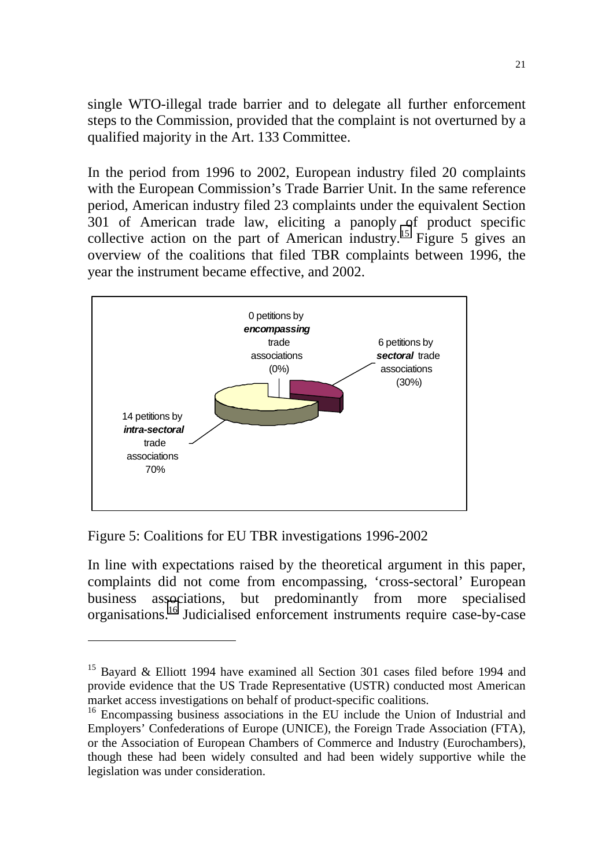single WTO-illegal trade barrier and to delegate all further enforcement steps to the Commission, provided that the complaint is not overturned by a qualified majority in the Art. 133 Committee.

In the period from 1996 to 2002, European industry filed 20 complaints with the European Commission's Trade Barrier Unit. In the same reference period, American industry filed 23 complaints under the equivalent Section 301 of American trade law, eliciting a panoply of product specific collective action on the part of American industry.<sup>15</sup> Figure 5 gives an overview of the coalitions that filed TBR complaints between 1996, the year the instrument became effective, and 2002.



Figure 5: Coalitions for EU TBR investigations 1996-2002

l

In line with expectations raised by the theoretical argument in this paper, complaints did not come from encompassing, 'cross-sectoral' European business associations, but predominantly from more specialised organisations.16 Judicialised enforcement instruments require case-by-case

<sup>&</sup>lt;sup>15</sup> Bayard & Elliott 1994 have examined all Section 301 cases filed before 1994 and provide evidence that the US Trade Representative (USTR) conducted most American market access investigations on behalf of product-specific coalitions.

<sup>&</sup>lt;sup>16</sup> Encompassing business associations in the EU include the Union of Industrial and Employers' Confederations of Europe (UNICE), the Foreign Trade Association (FTA), or the Association of European Chambers of Commerce and Industry (Eurochambers), though these had been widely consulted and had been widely supportive while the legislation was under consideration.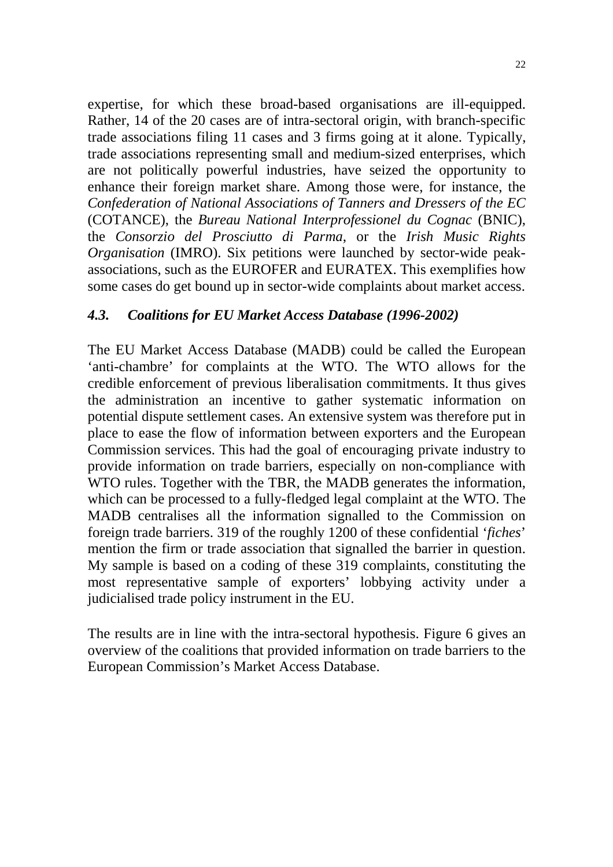expertise, for which these broad-based organisations are ill-equipped. Rather, 14 of the 20 cases are of intra-sectoral origin, with branch-specific trade associations filing 11 cases and 3 firms going at it alone. Typically, trade associations representing small and medium-sized enterprises, which are not politically powerful industries, have seized the opportunity to enhance their foreign market share. Among those were, for instance, the *Confederation of National Associations of Tanners and Dressers of the EC* (COTANCE), the *Bureau National Interprofessionel du Cognac* (BNIC), the *Consorzio del Prosciutto di Parma*, or the *Irish Music Rights Organisation* (IMRO). Six petitions were launched by sector-wide peakassociations, such as the EUROFER and EURATEX. This exemplifies how some cases do get bound up in sector-wide complaints about market access.

## *4.3. Coalitions for EU Market Access Database (1996-2002)*

The EU Market Access Database (MADB) could be called the European 'anti-chambre' for complaints at the WTO. The WTO allows for the credible enforcement of previous liberalisation commitments. It thus gives the administration an incentive to gather systematic information on potential dispute settlement cases. An extensive system was therefore put in place to ease the flow of information between exporters and the European Commission services. This had the goal of encouraging private industry to provide information on trade barriers, especially on non-compliance with WTO rules. Together with the TBR, the MADB generates the information, which can be processed to a fully-fledged legal complaint at the WTO. The MADB centralises all the information signalled to the Commission on foreign trade barriers. 319 of the roughly 1200 of these confidential '*fiches*' mention the firm or trade association that signalled the barrier in question. My sample is based on a coding of these 319 complaints, constituting the most representative sample of exporters' lobbying activity under a judicialised trade policy instrument in the EU.

The results are in line with the intra-sectoral hypothesis. Figure 6 gives an overview of the coalitions that provided information on trade barriers to the European Commission's Market Access Database.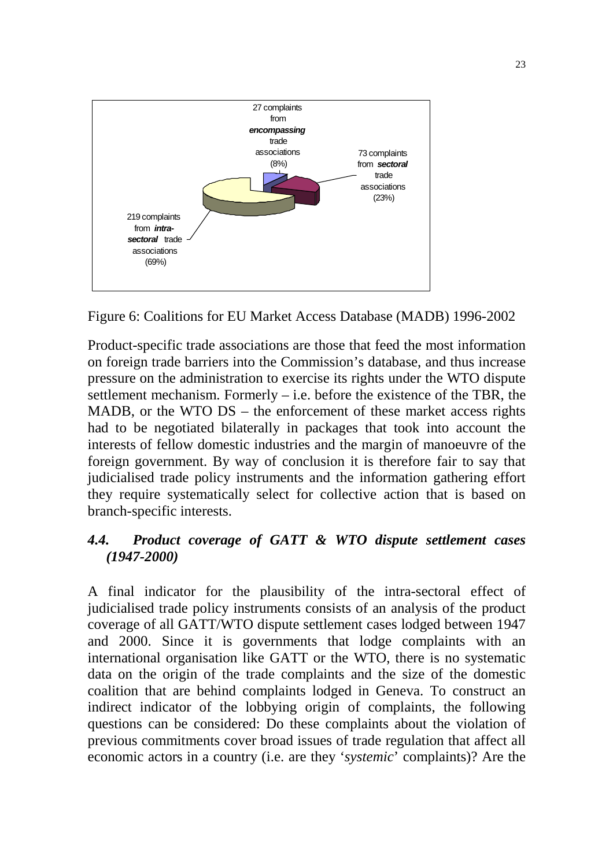

Figure 6: Coalitions for EU Market Access Database (MADB) 1996-2002

Product-specific trade associations are those that feed the most information on foreign trade barriers into the Commission's database, and thus increase pressure on the administration to exercise its rights under the WTO dispute settlement mechanism. Formerly – i.e. before the existence of the TBR, the MADB, or the WTO DS – the enforcement of these market access rights had to be negotiated bilaterally in packages that took into account the interests of fellow domestic industries and the margin of manoeuvre of the foreign government. By way of conclusion it is therefore fair to say that judicialised trade policy instruments and the information gathering effort they require systematically select for collective action that is based on branch-specific interests.

# *4.4. Product coverage of GATT & WTO dispute settlement cases (1947-2000)*

A final indicator for the plausibility of the intra-sectoral effect of judicialised trade policy instruments consists of an analysis of the product coverage of all GATT/WTO dispute settlement cases lodged between 1947 and 2000. Since it is governments that lodge complaints with an international organisation like GATT or the WTO, there is no systematic data on the origin of the trade complaints and the size of the domestic coalition that are behind complaints lodged in Geneva. To construct an indirect indicator of the lobbying origin of complaints, the following questions can be considered: Do these complaints about the violation of previous commitments cover broad issues of trade regulation that affect all economic actors in a country (i.e. are they '*systemic*' complaints)? Are the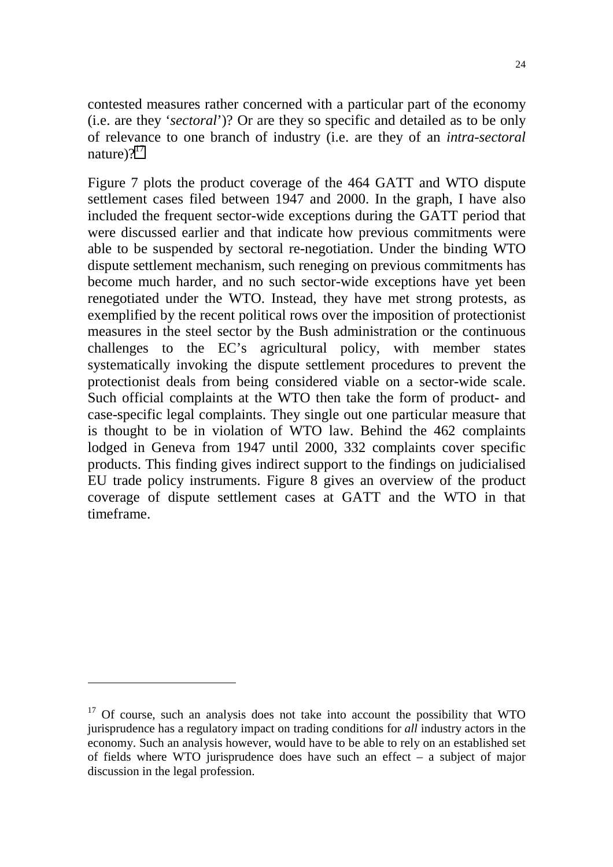contested measures rather concerned with a particular part of the economy (i.e. are they '*sectoral*')? Or are they so specific and detailed as to be only of relevance to one branch of industry (i.e. are they of an *intra-sectoral* nature) $2^{17}$ 

Figure 7 plots the product coverage of the 464 GATT and WTO dispute settlement cases filed between 1947 and 2000. In the graph, I have also included the frequent sector-wide exceptions during the GATT period that were discussed earlier and that indicate how previous commitments were able to be suspended by sectoral re-negotiation. Under the binding WTO dispute settlement mechanism, such reneging on previous commitments has become much harder, and no such sector-wide exceptions have yet been renegotiated under the WTO. Instead, they have met strong protests, as exemplified by the recent political rows over the imposition of protectionist measures in the steel sector by the Bush administration or the continuous challenges to the EC's agricultural policy, with member states systematically invoking the dispute settlement procedures to prevent the protectionist deals from being considered viable on a sector-wide scale. Such official complaints at the WTO then take the form of product- and case-specific legal complaints. They single out one particular measure that is thought to be in violation of WTO law. Behind the 462 complaints lodged in Geneva from 1947 until 2000, 332 complaints cover specific products. This finding gives indirect support to the findings on judicialised EU trade policy instruments. Figure 8 gives an overview of the product coverage of dispute settlement cases at GATT and the WTO in that timeframe.

 $\overline{\phantom{a}}$ 

<sup>&</sup>lt;sup>17</sup> Of course, such an analysis does not take into account the possibility that WTO jurisprudence has a regulatory impact on trading conditions for *all* industry actors in the economy. Such an analysis however, would have to be able to rely on an established set of fields where WTO jurisprudence does have such an effect – a subject of major discussion in the legal profession.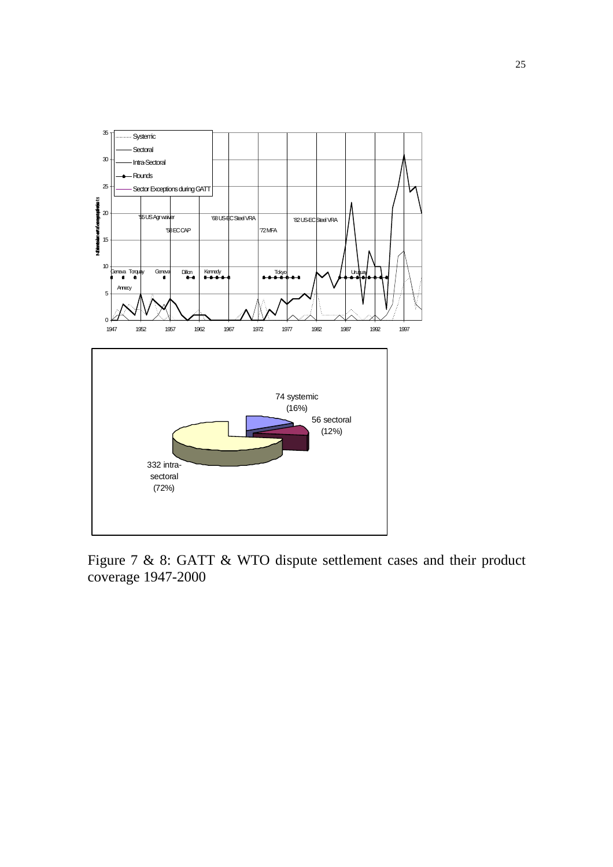

Figure 7 & 8: GATT & WTO dispute settlement cases and their product coverage 1947-2000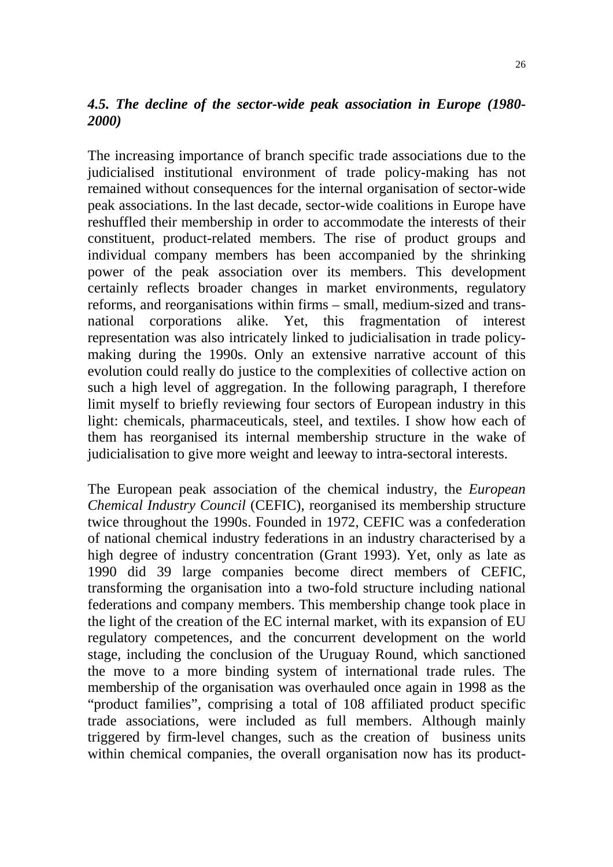# *4.5. The decline of the sector-wide peak association in Europe (1980- 2000)*

The increasing importance of branch specific trade associations due to the judicialised institutional environment of trade policy-making has not remained without consequences for the internal organisation of sector-wide peak associations. In the last decade, sector-wide coalitions in Europe have reshuffled their membership in order to accommodate the interests of their constituent, product-related members. The rise of product groups and individual company members has been accompanied by the shrinking power of the peak association over its members. This development certainly reflects broader changes in market environments, regulatory reforms, and reorganisations within firms – small, medium-sized and transnational corporations alike. Yet, this fragmentation of interest representation was also intricately linked to judicialisation in trade policymaking during the 1990s. Only an extensive narrative account of this evolution could really do justice to the complexities of collective action on such a high level of aggregation. In the following paragraph, I therefore limit myself to briefly reviewing four sectors of European industry in this light: chemicals, pharmaceuticals, steel, and textiles. I show how each of them has reorganised its internal membership structure in the wake of judicialisation to give more weight and leeway to intra-sectoral interests.

The European peak association of the chemical industry, the *European Chemical Industry Council* (CEFIC), reorganised its membership structure twice throughout the 1990s. Founded in 1972, CEFIC was a confederation of national chemical industry federations in an industry characterised by a high degree of industry concentration (Grant 1993). Yet, only as late as 1990 did 39 large companies become direct members of CEFIC, transforming the organisation into a two-fold structure including national federations and company members. This membership change took place in the light of the creation of the EC internal market, with its expansion of EU regulatory competences, and the concurrent development on the world stage, including the conclusion of the Uruguay Round, which sanctioned the move to a more binding system of international trade rules. The membership of the organisation was overhauled once again in 1998 as the "product families", comprising a total of 108 affiliated product specific trade associations, were included as full members. Although mainly triggered by firm-level changes, such as the creation of business units within chemical companies, the overall organisation now has its product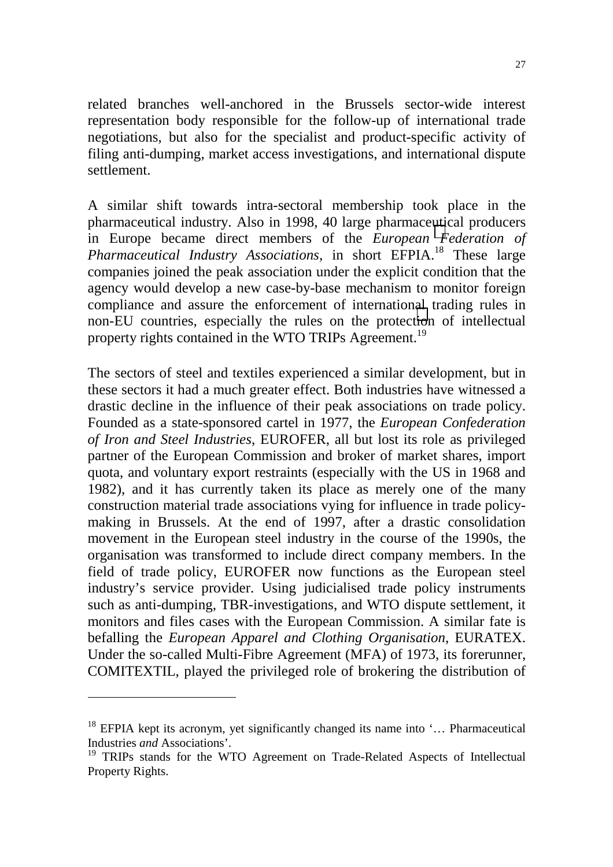related branches well-anchored in the Brussels sector-wide interest representation body responsible for the follow-up of international trade negotiations, but also for the specialist and product-specific activity of filing anti-dumping, market access investigations, and international dispute settlement.

A similar shift towards intra-sectoral membership took place in the pharmaceutical industry. Also in 1998, 40 large pharmaceutical producers in Europe became direct members of the *European Federation of Pharmaceutical Industry Associations*, in short EFPIA.<sup>18</sup> These large companies joined the peak association under the explicit condition that the agency would develop a new case-by-base mechanism to monitor foreign compliance and assure the enforcement of international trading rules in non-EU countries, especially the rules on the protection of intellectual property rights contained in the WTO TRIPs Agreement.<sup>19</sup>

The sectors of steel and textiles experienced a similar development, but in these sectors it had a much greater effect. Both industries have witnessed a drastic decline in the influence of their peak associations on trade policy. Founded as a state-sponsored cartel in 1977, the *European Confederation of Iron and Steel Industries*, EUROFER, all but lost its role as privileged partner of the European Commission and broker of market shares, import quota, and voluntary export restraints (especially with the US in 1968 and 1982), and it has currently taken its place as merely one of the many construction material trade associations vying for influence in trade policymaking in Brussels. At the end of 1997, after a drastic consolidation movement in the European steel industry in the course of the 1990s, the organisation was transformed to include direct company members. In the field of trade policy, EUROFER now functions as the European steel industry's service provider. Using judicialised trade policy instruments such as anti-dumping, TBR-investigations, and WTO dispute settlement, it monitors and files cases with the European Commission. A similar fate is befalling the *European Apparel and Clothing Organisation*, EURATEX. Under the so-called Multi-Fibre Agreement (MFA) of 1973, its forerunner, COMITEXTIL, played the privileged role of brokering the distribution of

 $\overline{a}$ 

 $18$  EFPIA kept its acronym, yet significantly changed its name into  $\ldots$  Pharmaceutical Industries *and* Associations'.

<sup>&</sup>lt;sup>19</sup> TRIPs stands for the WTO Agreement on Trade-Related Aspects of Intellectual Property Rights.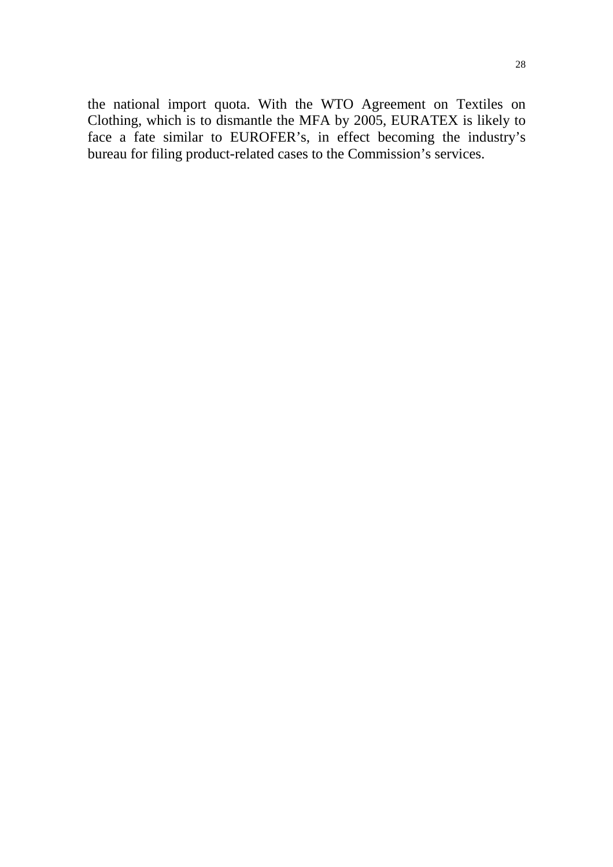the national import quota. With the WTO Agreement on Textiles on Clothing, which is to dismantle the MFA by 2005, EURATEX is likely to face a fate similar to EUROFER's, in effect becoming the industry's bureau for filing product-related cases to the Commission's services.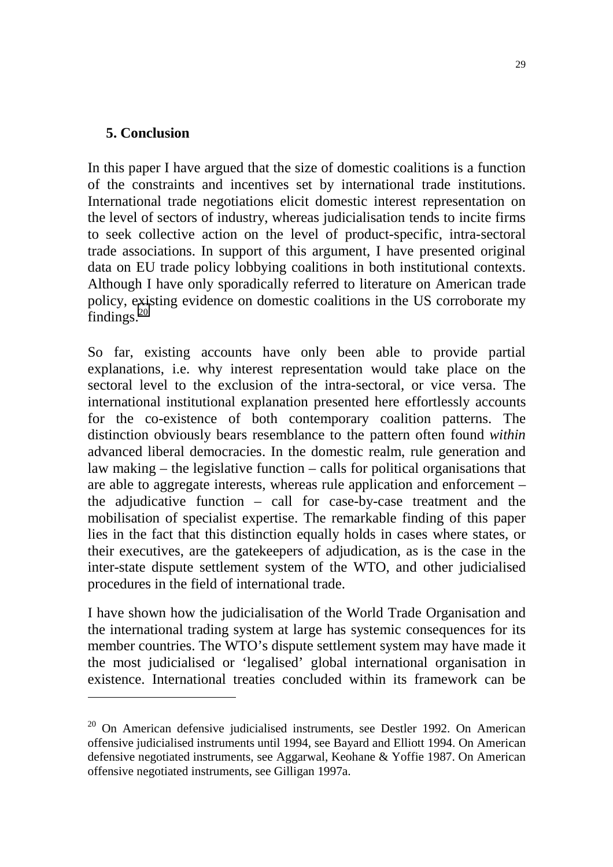#### **5. Conclusion**

 $\overline{a}$ 

In this paper I have argued that the size of domestic coalitions is a function of the constraints and incentives set by international trade institutions. International trade negotiations elicit domestic interest representation on the level of sectors of industry, whereas judicialisation tends to incite firms to seek collective action on the level of product-specific, intra-sectoral trade associations. In support of this argument, I have presented original data on EU trade policy lobbying coalitions in both institutional contexts. Although I have only sporadically referred to literature on American trade policy, existing evidence on domestic coalitions in the US corroborate my findings. $20$ 

So far, existing accounts have only been able to provide partial explanations, i.e. why interest representation would take place on the sectoral level to the exclusion of the intra-sectoral, or vice versa. The international institutional explanation presented here effortlessly accounts for the co-existence of both contemporary coalition patterns. The distinction obviously bears resemblance to the pattern often found *within* advanced liberal democracies. In the domestic realm, rule generation and law making – the legislative function – calls for political organisations that are able to aggregate interests, whereas rule application and enforcement – the adjudicative function – call for case-by-case treatment and the mobilisation of specialist expertise. The remarkable finding of this paper lies in the fact that this distinction equally holds in cases where states, or their executives, are the gatekeepers of adjudication, as is the case in the inter-state dispute settlement system of the WTO, and other judicialised procedures in the field of international trade.

I have shown how the judicialisation of the World Trade Organisation and the international trading system at large has systemic consequences for its member countries. The WTO's dispute settlement system may have made it the most judicialised or 'legalised' global international organisation in existence. International treaties concluded within its framework can be

 $20$  On American defensive judicialised instruments, see Destler 1992. On American offensive judicialised instruments until 1994, see Bayard and Elliott 1994. On American defensive negotiated instruments, see Aggarwal, Keohane & Yoffie 1987. On American offensive negotiated instruments, see Gilligan 1997a.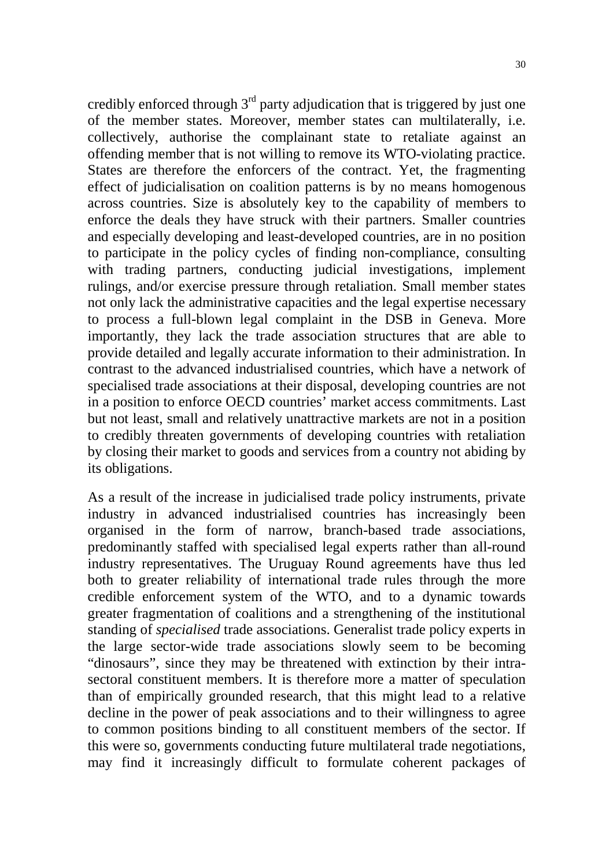credibly enforced through  $3<sup>rd</sup>$  party adjudication that is triggered by just one of the member states. Moreover, member states can multilaterally, i.e. collectively, authorise the complainant state to retaliate against an offending member that is not willing to remove its WTO-violating practice. States are therefore the enforcers of the contract. Yet, the fragmenting effect of judicialisation on coalition patterns is by no means homogenous across countries. Size is absolutely key to the capability of members to enforce the deals they have struck with their partners. Smaller countries and especially developing and least-developed countries, are in no position to participate in the policy cycles of finding non-compliance, consulting with trading partners, conducting judicial investigations, implement rulings, and/or exercise pressure through retaliation. Small member states not only lack the administrative capacities and the legal expertise necessary to process a full-blown legal complaint in the DSB in Geneva. More importantly, they lack the trade association structures that are able to provide detailed and legally accurate information to their administration. In contrast to the advanced industrialised countries, which have a network of specialised trade associations at their disposal, developing countries are not in a position to enforce OECD countries' market access commitments. Last but not least, small and relatively unattractive markets are not in a position to credibly threaten governments of developing countries with retaliation by closing their market to goods and services from a country not abiding by its obligations.

As a result of the increase in judicialised trade policy instruments, private industry in advanced industrialised countries has increasingly been organised in the form of narrow, branch-based trade associations, predominantly staffed with specialised legal experts rather than all-round industry representatives. The Uruguay Round agreements have thus led both to greater reliability of international trade rules through the more credible enforcement system of the WTO, and to a dynamic towards greater fragmentation of coalitions and a strengthening of the institutional standing of *specialised* trade associations. Generalist trade policy experts in the large sector-wide trade associations slowly seem to be becoming "dinosaurs", since they may be threatened with extinction by their intrasectoral constituent members. It is therefore more a matter of speculation than of empirically grounded research, that this might lead to a relative decline in the power of peak associations and to their willingness to agree to common positions binding to all constituent members of the sector. If this were so, governments conducting future multilateral trade negotiations, may find it increasingly difficult to formulate coherent packages of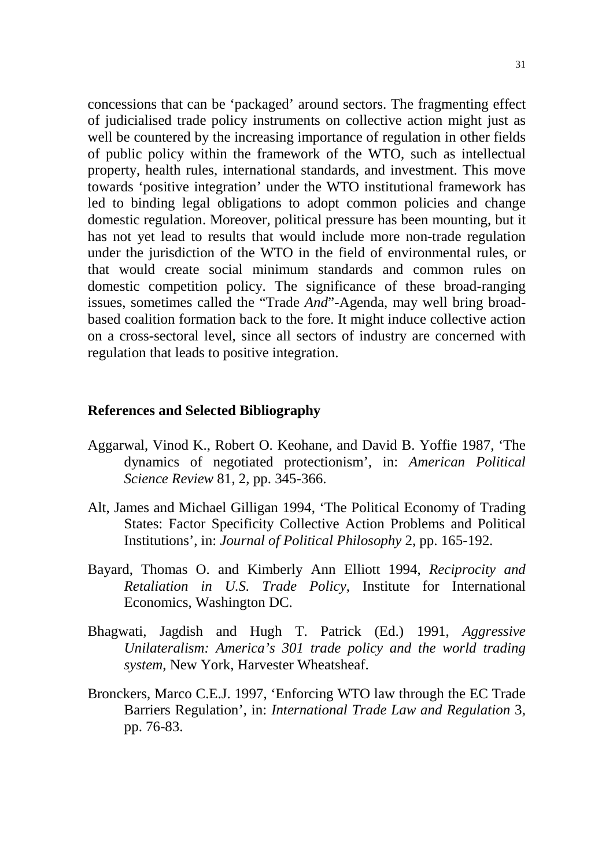concessions that can be 'packaged' around sectors. The fragmenting effect of judicialised trade policy instruments on collective action might just as well be countered by the increasing importance of regulation in other fields of public policy within the framework of the WTO, such as intellectual property, health rules, international standards, and investment. This move towards 'positive integration' under the WTO institutional framework has led to binding legal obligations to adopt common policies and change domestic regulation. Moreover, political pressure has been mounting, but it has not yet lead to results that would include more non-trade regulation under the jurisdiction of the WTO in the field of environmental rules, or that would create social minimum standards and common rules on domestic competition policy. The significance of these broad-ranging issues, sometimes called the "Trade *And*"-Agenda, may well bring broadbased coalition formation back to the fore. It might induce collective action on a cross-sectoral level, since all sectors of industry are concerned with regulation that leads to positive integration.

#### **References and Selected Bibliography**

- Aggarwal, Vinod K., Robert O. Keohane, and David B. Yoffie 1987, 'The dynamics of negotiated protectionism', in: *American Political Science Review* 81, 2, pp. 345-366.
- Alt, James and Michael Gilligan 1994, 'The Political Economy of Trading States: Factor Specificity Collective Action Problems and Political Institutions', in: *Journal of Political Philosophy* 2, pp. 165-192.
- Bayard, Thomas O. and Kimberly Ann Elliott 1994, *Reciprocity and Retaliation in U.S. Trade Policy*, Institute for International Economics, Washington DC.
- Bhagwati, Jagdish and Hugh T. Patrick (Ed.) 1991, *Aggressive Unilateralism: America's 301 trade policy and the world trading system*, New York, Harvester Wheatsheaf.
- Bronckers, Marco C.E.J. 1997, 'Enforcing WTO law through the EC Trade Barriers Regulation', in: *International Trade Law and Regulation* 3, pp. 76-83.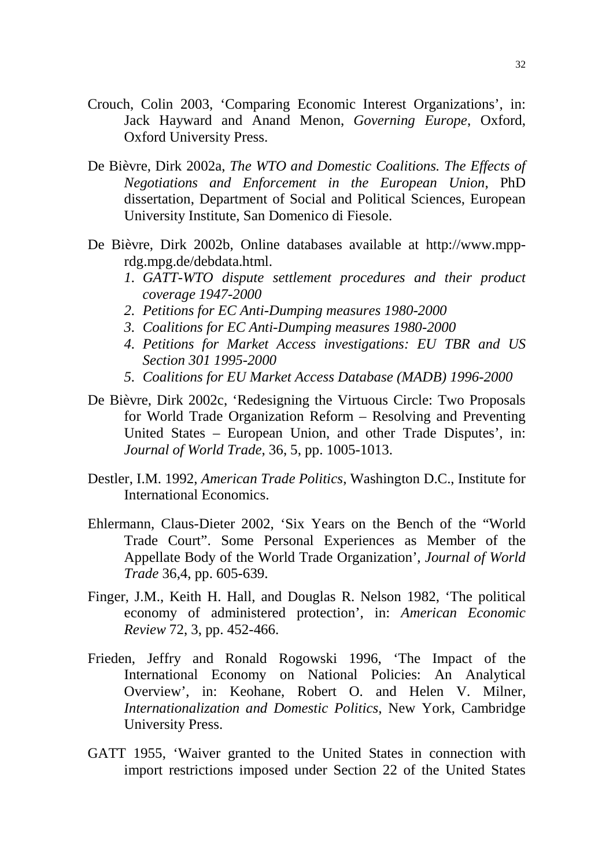- Crouch, Colin 2003, 'Comparing Economic Interest Organizations', in: Jack Hayward and Anand Menon, *Governing Europe*, Oxford, Oxford University Press.
- De Bièvre, Dirk 2002a, *The WTO and Domestic Coalitions. The Effects of Negotiations and Enforcement in the European Union*, PhD dissertation, Department of Social and Political Sciences, European University Institute, San Domenico di Fiesole.
- De Bièvre, Dirk 2002b, Online databases available at http://www.mpprdg.mpg.de/debdata.html.
	- *1. GATT-WTO dispute settlement procedures and their product coverage 1947-2000*
	- *2. Petitions for EC Anti-Dumping measures 1980-2000*
	- *3. Coalitions for EC Anti-Dumping measures 1980-2000*
	- *4. Petitions for Market Access investigations: EU TBR and US Section 301 1995-2000*
	- *5. Coalitions for EU Market Access Database (MADB) 1996-2000*
- De Bièvre, Dirk 2002c, 'Redesigning the Virtuous Circle: Two Proposals for World Trade Organization Reform – Resolving and Preventing United States – European Union, and other Trade Disputes', in: *Journal of World Trade*, 36, 5, pp. 1005-1013.
- Destler, I.M. 1992, *American Trade Politics*, Washington D.C., Institute for International Economics.
- Ehlermann, Claus-Dieter 2002, 'Six Years on the Bench of the "World Trade Court". Some Personal Experiences as Member of the Appellate Body of the World Trade Organization', *Journal of World Trade* 36,4, pp. 605-639.
- Finger, J.M., Keith H. Hall, and Douglas R. Nelson 1982, 'The political economy of administered protection', in: *American Economic Review* 72, 3, pp. 452-466.
- Frieden, Jeffry and Ronald Rogowski 1996, 'The Impact of the International Economy on National Policies: An Analytical Overview', in: Keohane, Robert O. and Helen V. Milner, *Internationalization and Domestic Politics*, New York, Cambridge University Press.
- GATT 1955, 'Waiver granted to the United States in connection with import restrictions imposed under Section 22 of the United States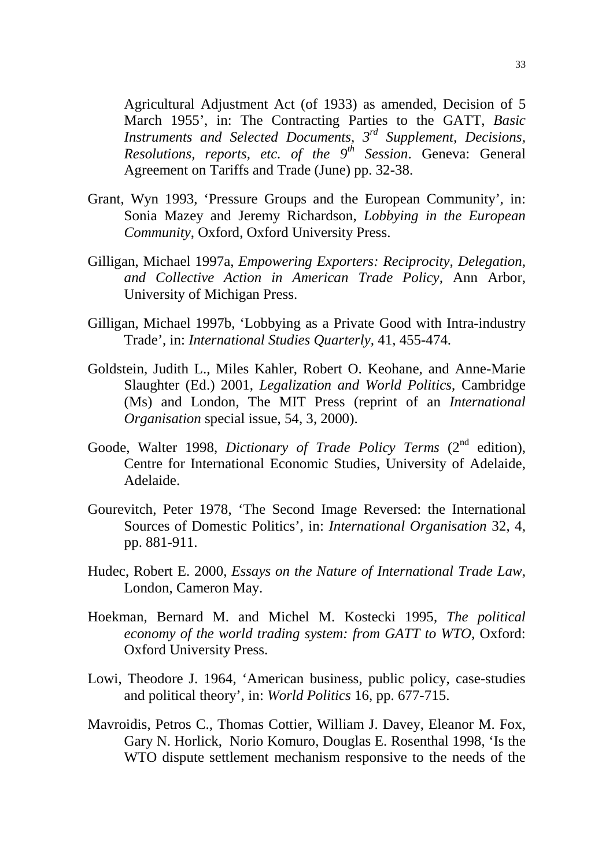Agricultural Adjustment Act (of 1933) as amended, Decision of 5 March 1955', in: The Contracting Parties to the GATT, *Basic Instruments and Selected Documents, 3rd Supplement, Decisions, Resolutions, reports, etc. of the 9th Session*. Geneva: General Agreement on Tariffs and Trade (June) pp. 32-38.

- Grant, Wyn 1993, 'Pressure Groups and the European Community', in: Sonia Mazey and Jeremy Richardson, *Lobbying in the European Community*, Oxford, Oxford University Press.
- Gilligan, Michael 1997a, *Empowering Exporters: Reciprocity, Delegation, and Collective Action in American Trade Policy,* Ann Arbor, University of Michigan Press.
- Gilligan, Michael 1997b, 'Lobbying as a Private Good with Intra-industry Trade', in: *International Studies Quarterly,* 41, 455-474.
- Goldstein, Judith L., Miles Kahler, Robert O. Keohane, and Anne-Marie Slaughter (Ed.) 2001, *Legalization and World Politics*, Cambridge (Ms) and London, The MIT Press (reprint of an *International Organisation* special issue, 54, 3, 2000).
- Goode, Walter 1998, *Dictionary of Trade Policy Terms* (2<sup>nd</sup> edition), Centre for International Economic Studies, University of Adelaide, Adelaide.
- Gourevitch, Peter 1978, 'The Second Image Reversed: the International Sources of Domestic Politics', in: *International Organisation* 32, 4, pp. 881-911.
- Hudec, Robert E. 2000, *Essays on the Nature of International Trade Law*, London, Cameron May.
- Hoekman, Bernard M. and Michel M. Kostecki 1995, *The political economy of the world trading system: from GATT to WTO,* Oxford: Oxford University Press.
- Lowi, Theodore J. 1964, 'American business, public policy, case-studies and political theory', in: *World Politics* 16*,* pp. 677-715.
- Mavroidis, Petros C., Thomas Cottier, William J. Davey, Eleanor M. Fox, Gary N. Horlick, Norio Komuro, Douglas E. Rosenthal 1998, 'Is the WTO dispute settlement mechanism responsive to the needs of the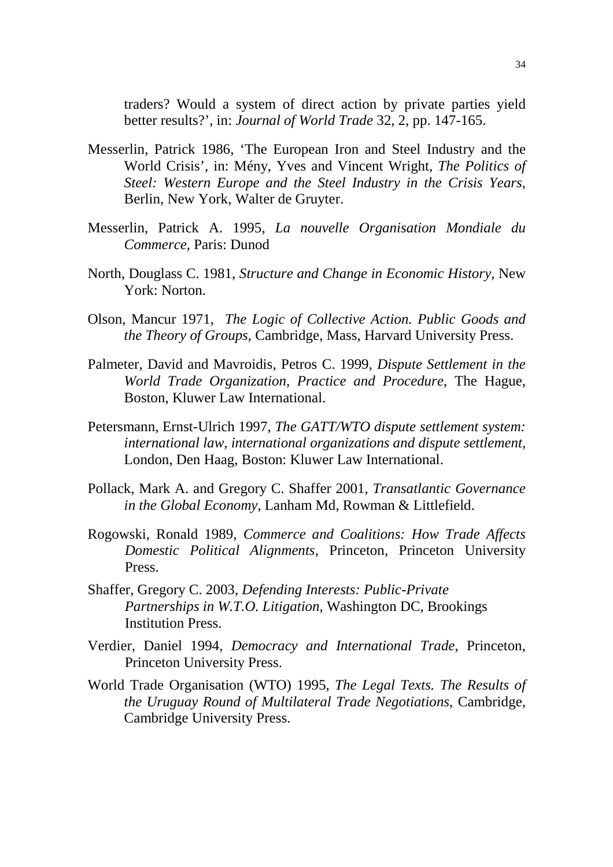traders? Would a system of direct action by private parties yield better results?', in: *Journal of World Trade* 32, 2, pp. 147-165.

- Messerlin, Patrick 1986, 'The European Iron and Steel Industry and the World Crisis', in: Mény, Yves and Vincent Wright, *The Politics of Steel: Western Europe and the Steel Industry in the Crisis Years*, Berlin, New York, Walter de Gruyter.
- Messerlin, Patrick A. 1995, *La nouvelle Organisation Mondiale du Commerce*, Paris: Dunod
- North, Douglass C. 1981, *Structure and Change in Economic History,* New York: Norton.
- Olson, Mancur 1971, *The Logic of Collective Action. Public Goods and the Theory of Groups*, Cambridge, Mass, Harvard University Press.
- Palmeter, David and Mavroidis, Petros C. 1999, *Dispute Settlement in the World Trade Organization, Practice and Procedure*, The Hague, Boston, Kluwer Law International.
- Petersmann, Ernst-Ulrich 1997, *The GATT/WTO dispute settlement system: international law, international organizations and dispute settlement,* London, Den Haag, Boston: Kluwer Law International.
- Pollack, Mark A. and Gregory C. Shaffer 2001, *Transatlantic Governance in the Global Economy*, Lanham Md, Rowman & Littlefield.
- Rogowski, Ronald 1989, *Commerce and Coalitions: How Trade Affects Domestic Political Alignments,* Princeton, Princeton University Press.
- Shaffer, Gregory C. 2003, *Defending Interests: Public-Private Partnerships in W.T.O. Litigation*, Washington DC, Brookings Institution Press.
- Verdier, Daniel 1994, *Democracy and International Trade*, Princeton, Princeton University Press.
- World Trade Organisation (WTO) 1995, *The Legal Texts. The Results of the Uruguay Round of Multilateral Trade Negotiations*, Cambridge, Cambridge University Press.